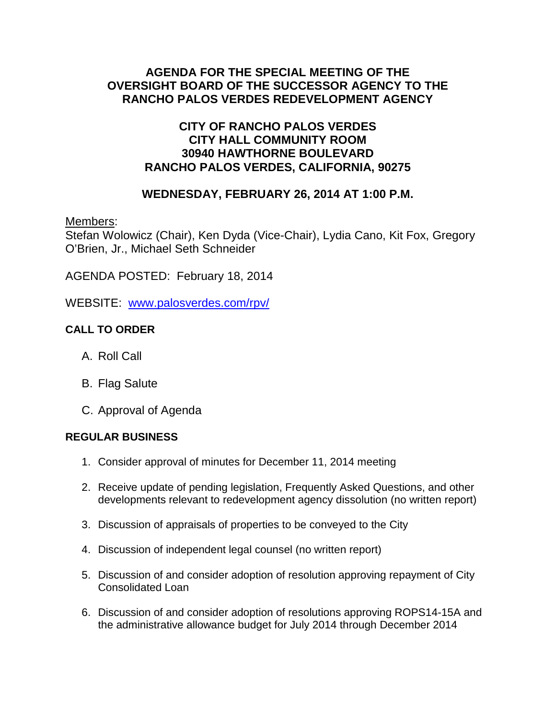# **AGENDA FOR THE SPECIAL MEETING OF THE OVERSIGHT BOARD OF THE SUCCESSOR AGENCY TO THE RANCHO PALOS VERDES REDEVELOPMENT AGENCY**

# **CITY OF RANCHO PALOS VERDES CITY HALL COMMUNITY ROOM 30940 HAWTHORNE BOULEVARD RANCHO PALOS VERDES, CALIFORNIA, 90275**

# **WEDNESDAY, FEBRUARY 26, 2014 AT 1:00 P.M.**

Members:

Stefan Wolowicz (Chair), Ken Dyda (Vice-Chair), Lydia Cano, Kit Fox, Gregory O'Brien, Jr., Michael Seth Schneider

AGENDA POSTED: February 18, 2014

WEBSITE: [www.palosverdes.com/rpv/](http://www.palosverdes.com/rpv/)

# **CALL TO ORDER**

- A. Roll Call
- B. Flag Salute
- C. Approval of Agenda

#### **REGULAR BUSINESS**

- 1. Consider approval of minutes for December 11, 2014 meeting
- 2. Receive update of pending legislation, Frequently Asked Questions, and other developments relevant to redevelopment agency dissolution (no written report)
- 3. Discussion of appraisals of properties to be conveyed to the City
- 4. Discussion of independent legal counsel (no written report)
- 5. Discussion of and consider adoption of resolution approving repayment of City Consolidated Loan
- 6. Discussion of and consider adoption of resolutions approving ROPS14-15A and the administrative allowance budget for July 2014 through December 2014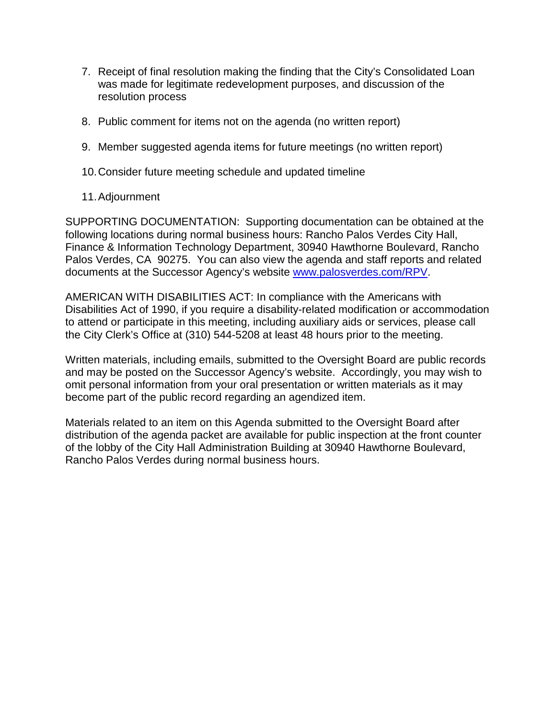- 7. Receipt of final resolution making the finding that the City's Consolidated Loan was made for legitimate redevelopment purposes, and discussion of the resolution process
- 8. Public comment for items not on the agenda (no written report)
- 9. Member suggested agenda items for future meetings (no written report)
- 10.Consider future meeting schedule and updated timeline

### 11.Adjournment

SUPPORTING DOCUMENTATION: Supporting documentation can be obtained at the following locations during normal business hours: Rancho Palos Verdes City Hall, Finance & Information Technology Department, 30940 Hawthorne Boulevard, Rancho Palos Verdes, CA 90275. You can also view the agenda and staff reports and related documents at the Successor Agency's website [www.palosverdes.com/RPV.](http://www.palosverdes.com/RPV)

AMERICAN WITH DISABILITIES ACT: In compliance with the Americans with Disabilities Act of 1990, if you require a disability-related modification or accommodation to attend or participate in this meeting, including auxiliary aids or services, please call the City Clerk's Office at (310) 544-5208 at least 48 hours prior to the meeting.

Written materials, including emails, submitted to the Oversight Board are public records and may be posted on the Successor Agency's website. Accordingly, you may wish to omit personal information from your oral presentation or written materials as it may become part of the public record regarding an agendized item.

Materials related to an item on this Agenda submitted to the Oversight Board after distribution of the agenda packet are available for public inspection at the front counter of the lobby of the City Hall Administration Building at 30940 Hawthorne Boulevard, Rancho Palos Verdes during normal business hours.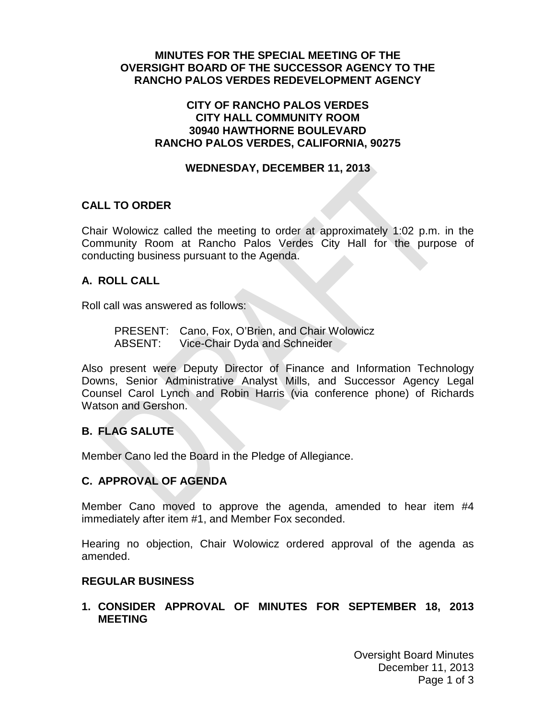#### **MINUTES FOR THE SPECIAL MEETING OF THE OVERSIGHT BOARD OF THE SUCCESSOR AGENCY TO THE RANCHO PALOS VERDES REDEVELOPMENT AGENCY**

#### **CITY OF RANCHO PALOS VERDES CITY HALL COMMUNITY ROOM 30940 HAWTHORNE BOULEVARD RANCHO PALOS VERDES, CALIFORNIA, 90275**

#### **WEDNESDAY, DECEMBER 11, 2013**

### **CALL TO ORDER**

Chair Wolowicz called the meeting to order at approximately 1:02 p.m. in the Community Room at Rancho Palos Verdes City Hall for the purpose of conducting business pursuant to the Agenda.

### **A. ROLL CALL**

Roll call was answered as follows:

PRESENT: Cano, Fox, O'Brien, and Chair Wolowicz ABSENT: Vice-Chair Dyda and Schneider

Also present were Deputy Director of Finance and Information Technology Downs, Senior Administrative Analyst Mills, and Successor Agency Legal Counsel Carol Lynch and Robin Harris (via conference phone) of Richards Watson and Gershon.

# **B. FLAG SALUTE**

Member Cano led the Board in the Pledge of Allegiance.

# **C. APPROVAL OF AGENDA**

Member Cano moved to approve the agenda, amended to hear item #4 immediately after item #1, and Member Fox seconded.

Hearing no objection, Chair Wolowicz ordered approval of the agenda as amended.

#### **REGULAR BUSINESS**

**1. CONSIDER APPROVAL OF MINUTES FOR SEPTEMBER 18, 2013 MEETING**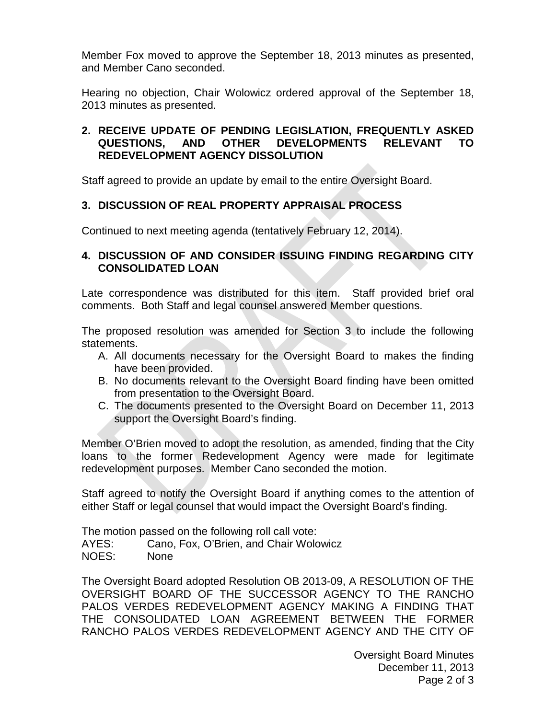Member Fox moved to approve the September 18, 2013 minutes as presented, and Member Cano seconded.

Hearing no objection, Chair Wolowicz ordered approval of the September 18, 2013 minutes as presented.

#### **2. RECEIVE UPDATE OF PENDING LEGISLATION, FREQUENTLY ASKED QUESTIONS, AND OTHER DEVELOPMENTS RELEVANT TO REDEVELOPMENT AGENCY DISSOLUTION**

Staff agreed to provide an update by email to the entire Oversight Board.

# **3. DISCUSSION OF REAL PROPERTY APPRAISAL PROCESS**

Continued to next meeting agenda (tentatively February 12, 2014).

### **4. DISCUSSION OF AND CONSIDER ISSUING FINDING REGARDING CITY CONSOLIDATED LOAN**

Late correspondence was distributed for this item. Staff provided brief oral comments. Both Staff and legal counsel answered Member questions.

The proposed resolution was amended for Section 3 to include the following statements.

- A. All documents necessary for the Oversight Board to makes the finding have been provided.
- B. No documents relevant to the Oversight Board finding have been omitted from presentation to the Oversight Board.
- C. The documents presented to the Oversight Board on December 11, 2013 support the Oversight Board's finding.

Member O'Brien moved to adopt the resolution, as amended, finding that the City loans to the former Redevelopment Agency were made for legitimate redevelopment purposes. Member Cano seconded the motion.

Staff agreed to notify the Oversight Board if anything comes to the attention of either Staff or legal counsel that would impact the Oversight Board's finding.

The motion passed on the following roll call vote: AYES: Cano, Fox, O'Brien, and Chair Wolowicz NOES: None

The Oversight Board adopted Resolution OB 2013-09, A RESOLUTION OF THE OVERSIGHT BOARD OF THE SUCCESSOR AGENCY TO THE RANCHO PALOS VERDES REDEVELOPMENT AGENCY MAKING A FINDING THAT THE CONSOLIDATED LOAN AGREEMENT BETWEEN THE FORMER RANCHO PALOS VERDES REDEVELOPMENT AGENCY AND THE CITY OF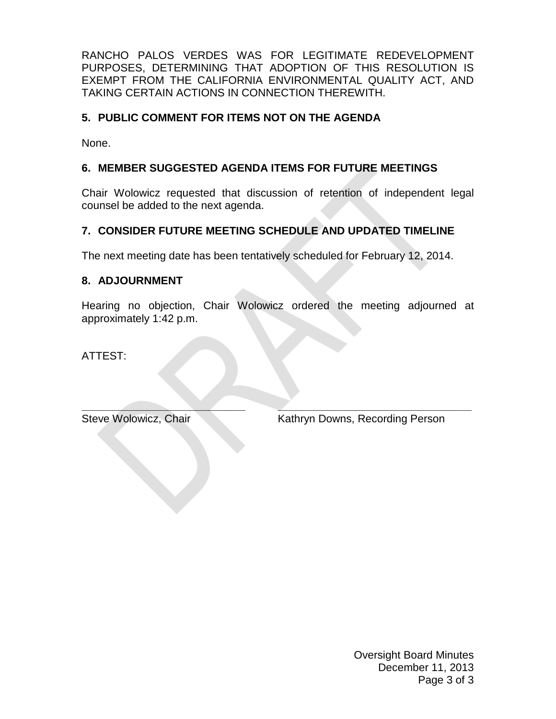RANCHO PALOS VERDES WAS FOR LEGITIMATE REDEVELOPMENT PURPOSES, DETERMINING THAT ADOPTION OF THIS RESOLUTION IS EXEMPT FROM THE CALIFORNIA ENVIRONMENTAL QUALITY ACT, AND TAKING CERTAIN ACTIONS IN CONNECTION THEREWITH.

# **5. PUBLIC COMMENT FOR ITEMS NOT ON THE AGENDA**

None.

## **6. MEMBER SUGGESTED AGENDA ITEMS FOR FUTURE MEETINGS**

Chair Wolowicz requested that discussion of retention of independent legal counsel be added to the next agenda.

# **7. CONSIDER FUTURE MEETING SCHEDULE AND UPDATED TIMELINE**

The next meeting date has been tentatively scheduled for February 12, 2014.

### **8. ADJOURNMENT**

Hearing no objection, Chair Wolowicz ordered the meeting adjourned at approximately 1:42 p.m.

ATTEST:

**\_\_\_\_\_\_\_\_\_\_\_\_\_\_\_\_\_\_\_\_\_\_\_\_\_\_\_ \_\_\_\_\_\_\_\_\_\_\_\_\_\_\_\_\_\_\_\_\_\_\_\_\_\_\_\_\_\_\_\_** Steve Wolowicz, Chair Kathryn Downs, Recording Person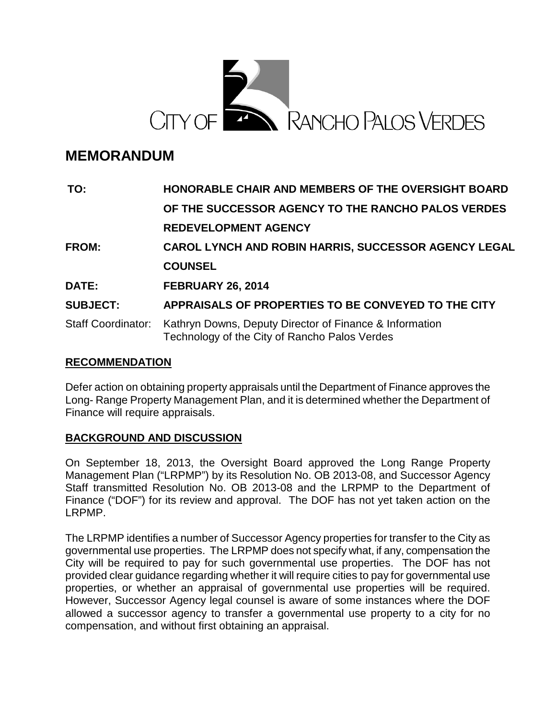

# **MEMORANDUM**

| TO:                       | HONORABLE CHAIR AND MEMBERS OF THE OVERSIGHT BOARD                                                       |
|---------------------------|----------------------------------------------------------------------------------------------------------|
|                           | OF THE SUCCESSOR AGENCY TO THE RANCHO PALOS VERDES                                                       |
|                           | <b>REDEVELOPMENT AGENCY</b>                                                                              |
| <b>FROM:</b>              | <b>CAROL LYNCH AND ROBIN HARRIS, SUCCESSOR AGENCY LEGAL</b>                                              |
|                           | <b>COUNSEL</b>                                                                                           |
| DATE:                     | <b>FEBRUARY 26, 2014</b>                                                                                 |
| <b>SUBJECT:</b>           | APPRAISALS OF PROPERTIES TO BE CONVEYED TO THE CITY                                                      |
| <b>Staff Coordinator:</b> | Kathryn Downs, Deputy Director of Finance & Information<br>Technology of the City of Rancho Palos Verdes |

#### **RECOMMENDATION**

Defer action on obtaining property appraisals until the Department of Finance approves the Long- Range Property Management Plan, and it is determined whether the Department of Finance will require appraisals.

#### **BACKGROUND AND DISCUSSION**

On September 18, 2013, the Oversight Board approved the Long Range Property Management Plan ("LRPMP") by its Resolution No. OB 2013-08, and Successor Agency Staff transmitted Resolution No. OB 2013-08 and the LRPMP to the Department of Finance ("DOF") for its review and approval. The DOF has not yet taken action on the LRPMP.

The LRPMP identifies a number of Successor Agency properties for transfer to the City as governmental use properties. The LRPMP does not specify what, if any, compensation the City will be required to pay for such governmental use properties. The DOF has not provided clear guidance regarding whether it will require cities to pay for governmental use properties, or whether an appraisal of governmental use properties will be required. However, Successor Agency legal counsel is aware of some instances where the DOF allowed a successor agency to transfer a governmental use property to a city for no compensation, and without first obtaining an appraisal.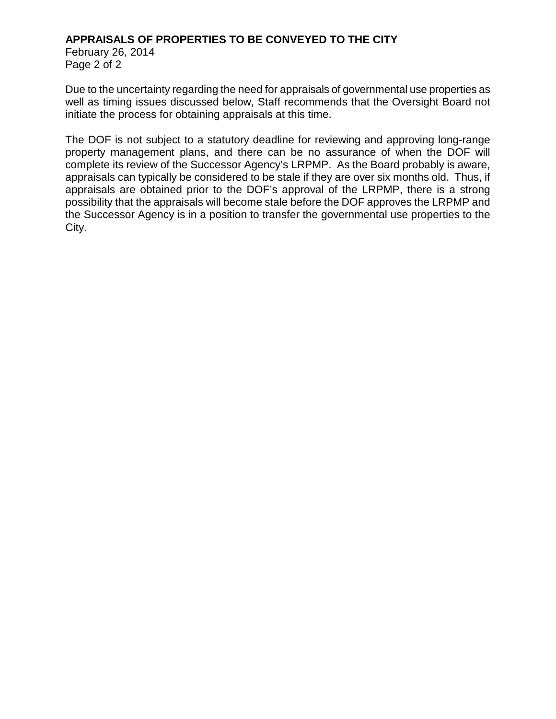#### **APPRAISALS OF PROPERTIES TO BE CONVEYED TO THE CITY**

February 26, 2014 Page 2 of 2

Due to the uncertainty regarding the need for appraisals of governmental use properties as well as timing issues discussed below, Staff recommends that the Oversight Board not initiate the process for obtaining appraisals at this time.

The DOF is not subject to a statutory deadline for reviewing and approving long-range property management plans, and there can be no assurance of when the DOF will complete its review of the Successor Agency's LRPMP. As the Board probably is aware, appraisals can typically be considered to be stale if they are over six months old. Thus, if appraisals are obtained prior to the DOF's approval of the LRPMP, there is a strong possibility that the appraisals will become stale before the DOF approves the LRPMP and the Successor Agency is in a position to transfer the governmental use properties to the City.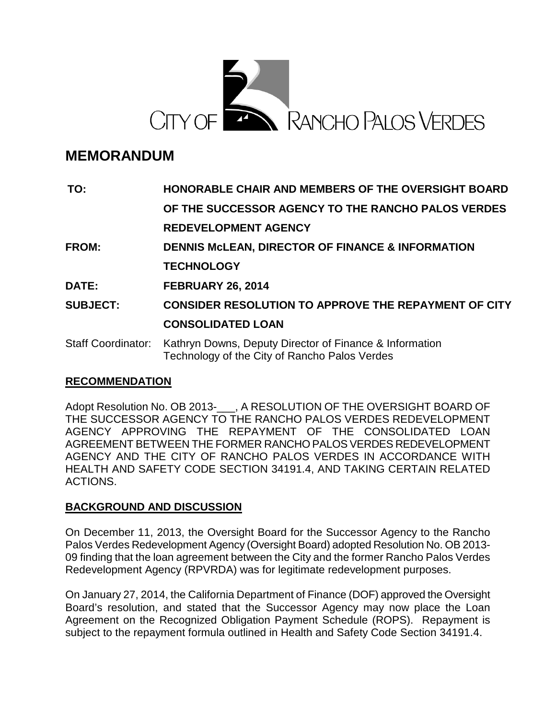

# **MEMORANDUM**

| TO:                       | <b>HONORABLE CHAIR AND MEMBERS OF THE OVERSIGHT BOARD</b>                                                |
|---------------------------|----------------------------------------------------------------------------------------------------------|
|                           | OF THE SUCCESSOR AGENCY TO THE RANCHO PALOS VERDES                                                       |
|                           | <b>REDEVELOPMENT AGENCY</b>                                                                              |
| <b>FROM:</b>              | <b>DENNIS MCLEAN, DIRECTOR OF FINANCE &amp; INFORMATION</b>                                              |
|                           | <b>TECHNOLOGY</b>                                                                                        |
| DATE:                     | <b>FEBRUARY 26, 2014</b>                                                                                 |
| <b>SUBJECT:</b>           | <b>CONSIDER RESOLUTION TO APPROVE THE REPAYMENT OF CITY</b>                                              |
|                           | <b>CONSOLIDATED LOAN</b>                                                                                 |
| <b>Staff Coordinator:</b> | Kathryn Downs, Deputy Director of Finance & Information<br>Technology of the City of Rancho Palos Verdes |

# **RECOMMENDATION**

Adopt Resolution No. OB 2013-\_\_\_, A RESOLUTION OF THE OVERSIGHT BOARD OF THE SUCCESSOR AGENCY TO THE RANCHO PALOS VERDES REDEVELOPMENT AGENCY APPROVING THE REPAYMENT OF THE CONSOLIDATED LOAN AGREEMENT BETWEEN THE FORMER RANCHO PALOS VERDES REDEVELOPMENT AGENCY AND THE CITY OF RANCHO PALOS VERDES IN ACCORDANCE WITH HEALTH AND SAFETY CODE SECTION 34191.4, AND TAKING CERTAIN RELATED ACTIONS.

# **BACKGROUND AND DISCUSSION**

On December 11, 2013, the Oversight Board for the Successor Agency to the Rancho Palos Verdes Redevelopment Agency (Oversight Board) adopted Resolution No. OB 2013- 09 finding that the loan agreement between the City and the former Rancho Palos Verdes Redevelopment Agency (RPVRDA) was for legitimate redevelopment purposes.

On January 27, 2014, the California Department of Finance (DOF) approved the Oversight Board's resolution, and stated that the Successor Agency may now place the Loan Agreement on the Recognized Obligation Payment Schedule (ROPS). Repayment is subject to the repayment formula outlined in Health and Safety Code Section 34191.4.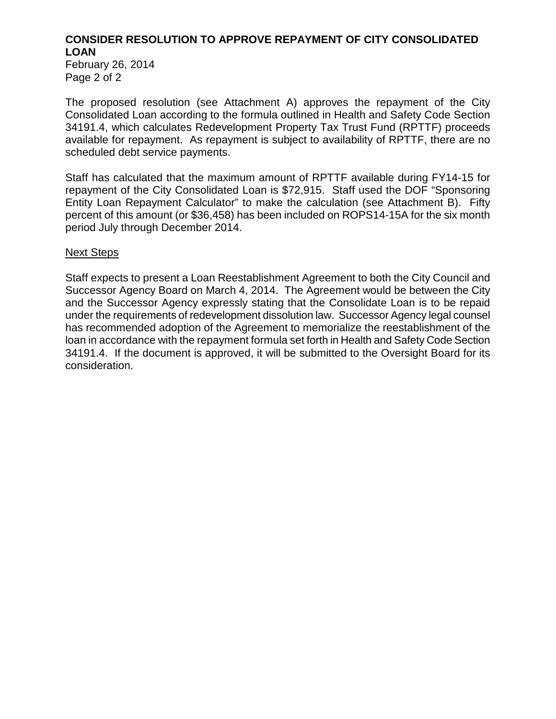# **CONSIDER RESOLUTION TO APPROVE REPAYMENT OF CITY CONSOLIDATED LOAN**

February 26, 2014 Page 2 of 2

The proposed resolution (see Attachment A) approves the repayment of the City Consolidated Loan according to the formula outlined in Health and Safety Code Section 34191.4, which calculates Redevelopment Property Tax Trust Fund (RPTTF) proceeds available for repayment. As repayment is subject to availability of RPTTF, there are no scheduled debt service payments.

Staff has calculated that the maximum amount of RPTTF available during FY14-15 for repayment of the City Consolidated Loan is \$72,915. Staff used the DOF "Sponsoring Entity Loan Repayment Calculator" to make the calculation (see Attachment B). Fifty percent of this amount (or \$36,458) has been included on ROPS14-15A for the six month period July through December 2014.

#### Next Steps

Staff expects to present a Loan Reestablishment Agreement to both the City Council and Successor Agency Board on March 4, 2014. The Agreement would be between the City and the Successor Agency expressly stating that the Consolidate Loan is to be repaid under the requirements of redevelopment dissolution law. Successor Agency legal counsel has recommended adoption of the Agreement to memorialize the reestablishment of the loan in accordance with the repayment formula set forth in Health and Safety Code Section 34191.4. If the document is approved, it will be submitted to the Oversight Board for its consideration.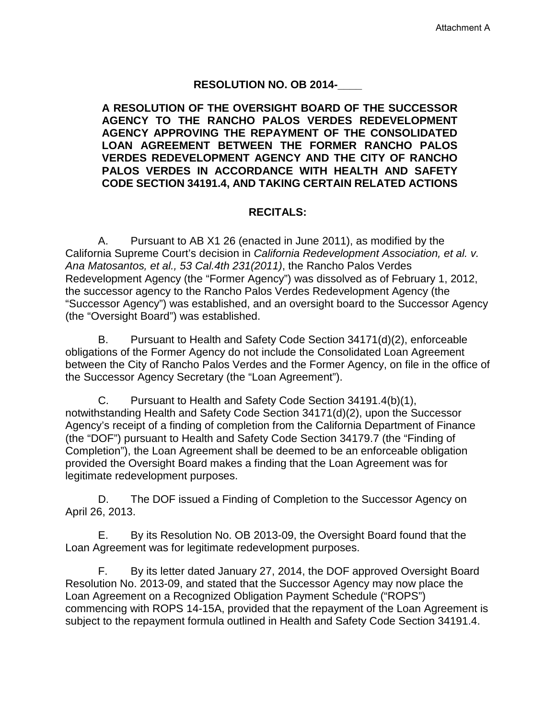#### **RESOLUTION NO. OB 2014-\_\_\_\_**

**A RESOLUTION OF THE OVERSIGHT BOARD OF THE SUCCESSOR AGENCY TO THE RANCHO PALOS VERDES REDEVELOPMENT AGENCY APPROVING THE REPAYMENT OF THE CONSOLIDATED LOAN AGREEMENT BETWEEN THE FORMER RANCHO PALOS VERDES REDEVELOPMENT AGENCY AND THE CITY OF RANCHO PALOS VERDES IN ACCORDANCE WITH HEALTH AND SAFETY CODE SECTION 34191.4, AND TAKING CERTAIN RELATED ACTIONS**

#### **RECITALS:**

A. Pursuant to AB X1 26 (enacted in June 2011), as modified by the California Supreme Court's decision in *California Redevelopment Association, et al. v. Ana Matosantos, et al., 53 Cal.4th 231(2011)*, the Rancho Palos Verdes Redevelopment Agency (the "Former Agency") was dissolved as of February 1, 2012, the successor agency to the Rancho Palos Verdes Redevelopment Agency (the "Successor Agency") was established, and an oversight board to the Successor Agency (the "Oversight Board") was established.

B. Pursuant to Health and Safety Code Section 34171(d)(2), enforceable obligations of the Former Agency do not include the Consolidated Loan Agreement between the City of Rancho Palos Verdes and the Former Agency, on file in the office of the Successor Agency Secretary (the "Loan Agreement").

C. Pursuant to Health and Safety Code Section 34191.4(b)(1), notwithstanding Health and Safety Code Section 34171(d)(2), upon the Successor Agency's receipt of a finding of completion from the California Department of Finance (the "DOF") pursuant to Health and Safety Code Section 34179.7 (the "Finding of Completion"), the Loan Agreement shall be deemed to be an enforceable obligation provided the Oversight Board makes a finding that the Loan Agreement was for legitimate redevelopment purposes.

D. The DOF issued a Finding of Completion to the Successor Agency on April 26, 2013.

E. By its Resolution No. OB 2013-09, the Oversight Board found that the Loan Agreement was for legitimate redevelopment purposes.

F. By its letter dated January 27, 2014, the DOF approved Oversight Board Resolution No. 2013-09, and stated that the Successor Agency may now place the Loan Agreement on a Recognized Obligation Payment Schedule ("ROPS") commencing with ROPS 14-15A, provided that the repayment of the Loan Agreement is subject to the repayment formula outlined in Health and Safety Code Section 34191.4.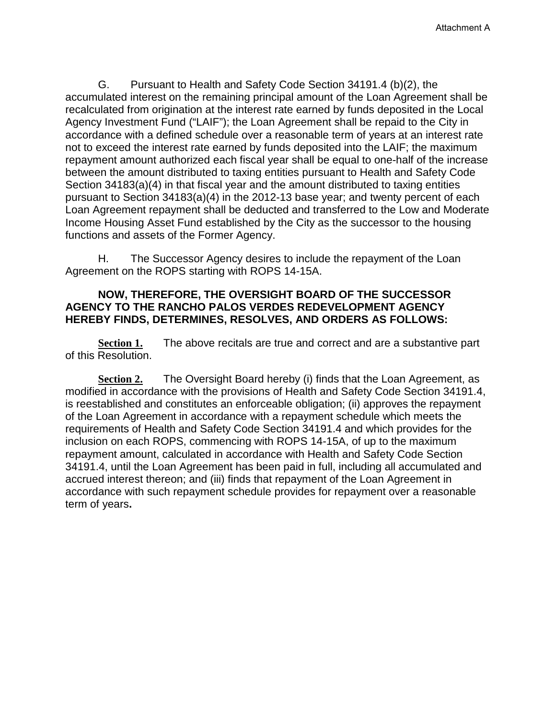G. Pursuant to Health and Safety Code Section 34191.4 (b)(2), the accumulated interest on the remaining principal amount of the Loan Agreement shall be recalculated from origination at the interest rate earned by funds deposited in the Local Agency Investment Fund ("LAIF"); the Loan Agreement shall be repaid to the City in accordance with a defined schedule over a reasonable term of years at an interest rate not to exceed the interest rate earned by funds deposited into the LAIF; the maximum repayment amount authorized each fiscal year shall be equal to one-half of the increase between the amount distributed to taxing entities pursuant to Health and Safety Code Section 34183(a)(4) in that fiscal year and the amount distributed to taxing entities pursuant to Section 34183(a)(4) in the 2012-13 base year; and twenty percent of each Loan Agreement repayment shall be deducted and transferred to the Low and Moderate Income Housing Asset Fund established by the City as the successor to the housing functions and assets of the Former Agency.

H. The Successor Agency desires to include the repayment of the Loan Agreement on the ROPS starting with ROPS 14-15A.

#### **NOW, THEREFORE, THE OVERSIGHT BOARD OF THE SUCCESSOR AGENCY TO THE RANCHO PALOS VERDES REDEVELOPMENT AGENCY HEREBY FINDS, DETERMINES, RESOLVES, AND ORDERS AS FOLLOWS:**

**Section 1.** The above recitals are true and correct and are a substantive part of this Resolution.

**Section 2.** The Oversight Board hereby (i) finds that the Loan Agreement, as modified in accordance with the provisions of Health and Safety Code Section 34191.4, is reestablished and constitutes an enforceable obligation; (ii) approves the repayment of the Loan Agreement in accordance with a repayment schedule which meets the requirements of Health and Safety Code Section 34191.4 and which provides for the inclusion on each ROPS, commencing with ROPS 14-15A, of up to the maximum repayment amount, calculated in accordance with Health and Safety Code Section 34191.4, until the Loan Agreement has been paid in full, including all accumulated and accrued interest thereon; and (iii) finds that repayment of the Loan Agreement in accordance with such repayment schedule provides for repayment over a reasonable term of years**.**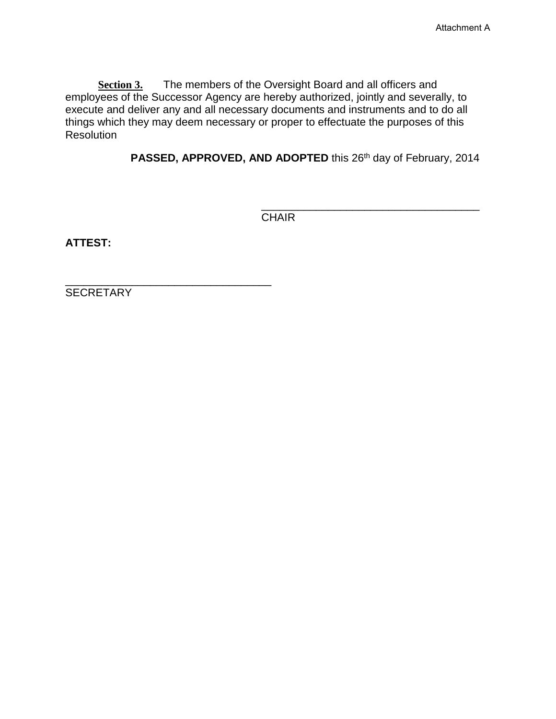**Section 3.** The members of the Oversight Board and all officers and employees of the Successor Agency are hereby authorized, jointly and severally, to execute and deliver any and all necessary documents and instruments and to do all things which they may deem necessary or proper to effectuate the purposes of this Resolution

PASSED, APPROVED, AND ADOPTED this 26<sup>th</sup> day of February, 2014

\_\_\_\_\_\_\_\_\_\_\_\_\_\_\_\_\_\_\_\_\_\_\_\_\_\_\_\_\_\_\_\_\_\_\_\_ CHAIR

**ATTEST:**

**SECRETARY** 

\_\_\_\_\_\_\_\_\_\_\_\_\_\_\_\_\_\_\_\_\_\_\_\_\_\_\_\_\_\_\_\_\_\_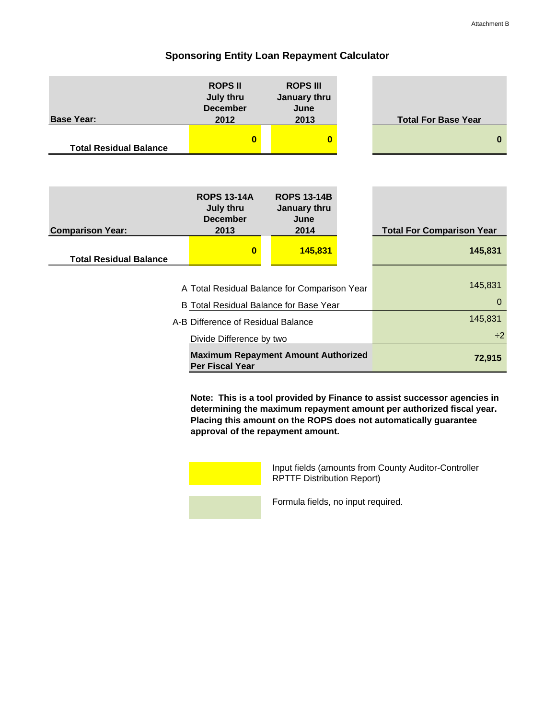#### **Sponsoring Entity Loan Repayment Calculator**

|                                    | <b>ROPS II</b><br><b>July thru</b><br><b>December</b>                | <b>ROPS III</b><br>January thru<br>June    |        |                                  |
|------------------------------------|----------------------------------------------------------------------|--------------------------------------------|--------|----------------------------------|
| <b>Base Year:</b>                  | 2012                                                                 | 2013                                       |        | <b>Total For Base Year</b>       |
| <b>Total Residual Balance</b>      | $\bf{0}$                                                             | $\bf{0}$                                   |        | $\bf{0}$                         |
|                                    |                                                                      |                                            |        |                                  |
|                                    | <b>ROPS 13-14A</b><br><b>July thru</b><br><b>December</b>            | <b>ROPS 13-14B</b><br>January thru<br>June |        |                                  |
| <b>Comparison Year:</b>            | 2013                                                                 | 2014                                       |        | <b>Total For Comparison Year</b> |
| <b>Total Residual Balance</b>      | $\bf{0}$                                                             | 145,831                                    |        | 145,831                          |
|                                    | A Total Residual Balance for Comparison Year                         |                                            |        | 145,831                          |
|                                    | B Total Residual Balance for Base Year                               |                                            |        | $\Omega$                         |
| A-B Difference of Residual Balance | 145,831                                                              |                                            |        |                                  |
|                                    | $\div 2$                                                             |                                            |        |                                  |
|                                    | <b>Maximum Repayment Amount Authorized</b><br><b>Per Fiscal Year</b> |                                            | 72,915 |                                  |

**Note: This is a tool provided by Finance to assist successor agencies in determining the maximum repayment amount per authorized fiscal year. Placing this amount on the ROPS does not automatically guarantee approval of the repayment amount.** 



Input fields (amounts from County Auditor-Controller RPTTF Distribution Report)

Formula fields, no input required.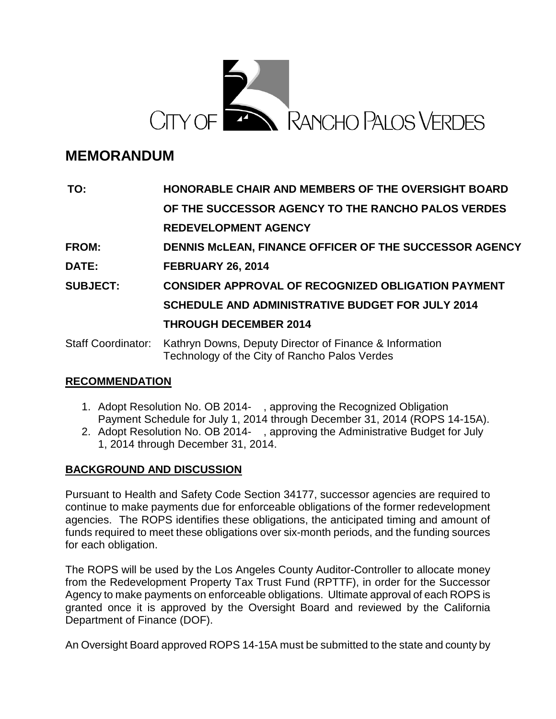

# **MEMORANDUM**

| TO:                       | HONORABLE CHAIR AND MEMBERS OF THE OVERSIGHT BOARD                                                       |
|---------------------------|----------------------------------------------------------------------------------------------------------|
|                           | OF THE SUCCESSOR AGENCY TO THE RANCHO PALOS VERDES                                                       |
|                           | <b>REDEVELOPMENT AGENCY</b>                                                                              |
| <b>FROM:</b>              | DENNIS MCLEAN, FINANCE OFFICER OF THE SUCCESSOR AGENCY                                                   |
| DATE:                     | <b>FEBRUARY 26, 2014</b>                                                                                 |
| <b>SUBJECT:</b>           | <b>CONSIDER APPROVAL OF RECOGNIZED OBLIGATION PAYMENT</b>                                                |
|                           | <b>SCHEDULE AND ADMINISTRATIVE BUDGET FOR JULY 2014</b>                                                  |
|                           | <b>THROUGH DECEMBER 2014</b>                                                                             |
| <b>Staff Coordinator:</b> | Kathryn Downs, Deputy Director of Finance & Information<br>Technology of the City of Rancho Palos Verdes |

# **RECOMMENDATION**

- 1. Adopt Resolution No. OB 2014- , approving the Recognized Obligation Payment Schedule for July 1, 2014 through December 31, 2014 (ROPS 14-15A).
- 2. Adopt Resolution No. OB 2014- , approving the Administrative Budget for July 1, 2014 through December 31, 2014.

# **BACKGROUND AND DISCUSSION**

Pursuant to Health and Safety Code Section 34177, successor agencies are required to continue to make payments due for enforceable obligations of the former redevelopment agencies. The ROPS identifies these obligations, the anticipated timing and amount of funds required to meet these obligations over six-month periods, and the funding sources for each obligation.

The ROPS will be used by the Los Angeles County Auditor-Controller to allocate money from the Redevelopment Property Tax Trust Fund (RPTTF), in order for the Successor Agency to make payments on enforceable obligations. Ultimate approval of each ROPS is granted once it is approved by the Oversight Board and reviewed by the California Department of Finance (DOF).

An Oversight Board approved ROPS 14-15A must be submitted to the state and county by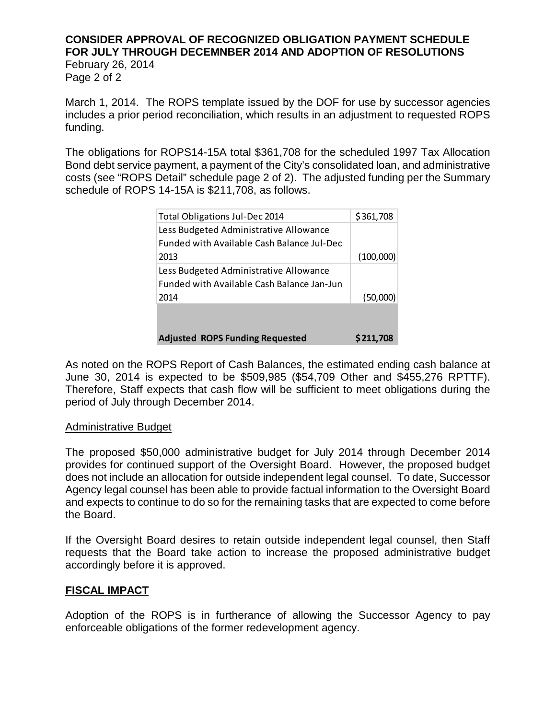# **CONSIDER APPROVAL OF RECOGNIZED OBLIGATION PAYMENT SCHEDULE FOR JULY THROUGH DECEMNBER 2014 AND ADOPTION OF RESOLUTIONS**

February 26, 2014 Page 2 of 2

March 1, 2014. The ROPS template issued by the DOF for use by successor agencies includes a prior period reconciliation, which results in an adjustment to requested ROPS funding.

The obligations for ROPS14-15A total \$361,708 for the scheduled 1997 Tax Allocation Bond debt service payment, a payment of the City's consolidated loan, and administrative costs (see "ROPS Detail" schedule page 2 of 2). The adjusted funding per the Summary schedule of ROPS 14-15A is \$211,708, as follows.

| Total Obligations Jul-Dec 2014             | \$361,708 |
|--------------------------------------------|-----------|
| Less Budgeted Administrative Allowance     |           |
| Funded with Available Cash Balance Jul-Dec |           |
| 2013                                       | (100,000) |
| Less Budgeted Administrative Allowance     |           |
| Funded with Available Cash Balance Jan-Jun |           |
| 2014                                       | (50,000)  |
|                                            |           |
|                                            |           |
| <b>Adjusted ROPS Funding Requested</b>     | S 211,708 |

As noted on the ROPS Report of Cash Balances, the estimated ending cash balance at June 30, 2014 is expected to be \$509,985 (\$54,709 Other and \$455,276 RPTTF). Therefore, Staff expects that cash flow will be sufficient to meet obligations during the period of July through December 2014.

#### Administrative Budget

The proposed \$50,000 administrative budget for July 2014 through December 2014 provides for continued support of the Oversight Board. However, the proposed budget does not include an allocation for outside independent legal counsel. To date, Successor Agency legal counsel has been able to provide factual information to the Oversight Board and expects to continue to do so for the remaining tasks that are expected to come before the Board.

If the Oversight Board desires to retain outside independent legal counsel, then Staff requests that the Board take action to increase the proposed administrative budget accordingly before it is approved.

#### **FISCAL IMPACT**

Adoption of the ROPS is in furtherance of allowing the Successor Agency to pay enforceable obligations of the former redevelopment agency.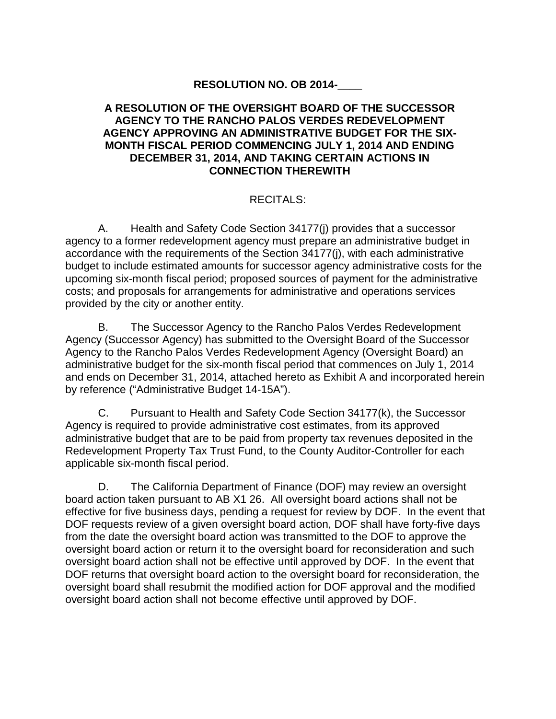# **RESOLUTION NO. OB 2014-\_\_\_\_**

#### **A RESOLUTION OF THE OVERSIGHT BOARD OF THE SUCCESSOR AGENCY TO THE RANCHO PALOS VERDES REDEVELOPMENT AGENCY APPROVING AN ADMINISTRATIVE BUDGET FOR THE SIX-MONTH FISCAL PERIOD COMMENCING JULY 1, 2014 AND ENDING DECEMBER 31, 2014, AND TAKING CERTAIN ACTIONS IN CONNECTION THEREWITH**

#### RECITALS:

A. Health and Safety Code Section 34177(j) provides that a successor agency to a former redevelopment agency must prepare an administrative budget in accordance with the requirements of the Section 34177(j), with each administrative budget to include estimated amounts for successor agency administrative costs for the upcoming six-month fiscal period; proposed sources of payment for the administrative costs; and proposals for arrangements for administrative and operations services provided by the city or another entity.

B. The Successor Agency to the Rancho Palos Verdes Redevelopment Agency (Successor Agency) has submitted to the Oversight Board of the Successor Agency to the Rancho Palos Verdes Redevelopment Agency (Oversight Board) an administrative budget for the six-month fiscal period that commences on July 1, 2014 and ends on December 31, 2014, attached hereto as Exhibit A and incorporated herein by reference ("Administrative Budget 14-15A").

C. Pursuant to Health and Safety Code Section 34177(k), the Successor Agency is required to provide administrative cost estimates, from its approved administrative budget that are to be paid from property tax revenues deposited in the Redevelopment Property Tax Trust Fund, to the County Auditor-Controller for each applicable six-month fiscal period.

D. The California Department of Finance (DOF) may review an oversight board action taken pursuant to AB X1 26. All oversight board actions shall not be effective for five business days, pending a request for review by DOF. In the event that DOF requests review of a given oversight board action, DOF shall have forty-five days from the date the oversight board action was transmitted to the DOF to approve the oversight board action or return it to the oversight board for reconsideration and such oversight board action shall not be effective until approved by DOF. In the event that DOF returns that oversight board action to the oversight board for reconsideration, the oversight board shall resubmit the modified action for DOF approval and the modified oversight board action shall not become effective until approved by DOF.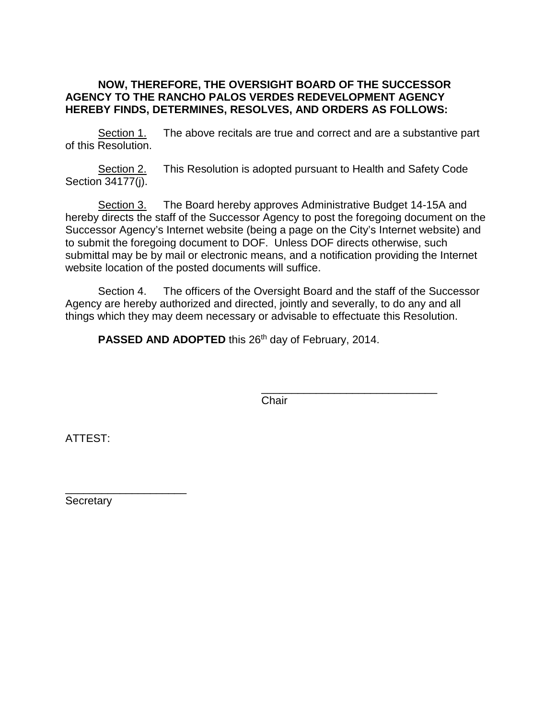#### **NOW, THEREFORE, THE OVERSIGHT BOARD OF THE SUCCESSOR AGENCY TO THE RANCHO PALOS VERDES REDEVELOPMENT AGENCY HEREBY FINDS, DETERMINES, RESOLVES, AND ORDERS AS FOLLOWS:**

Section 1. The above recitals are true and correct and are a substantive part of this Resolution.

Section 2. This Resolution is adopted pursuant to Health and Safety Code Section 34177(j).

Section 3. The Board hereby approves Administrative Budget 14-15A and hereby directs the staff of the Successor Agency to post the foregoing document on the Successor Agency's Internet website (being a page on the City's Internet website) and to submit the foregoing document to DOF. Unless DOF directs otherwise, such submittal may be by mail or electronic means, and a notification providing the Internet website location of the posted documents will suffice.

Section 4. The officers of the Oversight Board and the staff of the Successor Agency are hereby authorized and directed, jointly and severally, to do any and all things which they may deem necessary or advisable to effectuate this Resolution.

**PASSED AND ADOPTED** this 26<sup>th</sup> day of February, 2014.

\_\_\_\_\_\_\_\_\_\_\_\_\_\_\_\_\_\_\_\_\_\_\_\_\_\_\_\_\_ **Chair** 

ATTEST:

\_\_\_\_\_\_\_\_\_\_\_\_\_\_\_\_\_\_\_\_ Secretary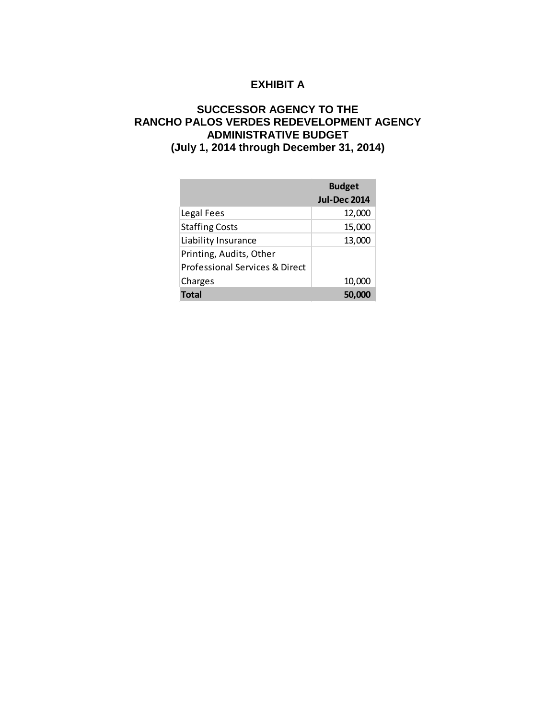# **EXHIBIT A**

#### **SUCCESSOR AGENCY TO THE RANCHO PALOS VERDES REDEVELOPMENT AGENCY ADMINISTRATIVE BUDGET (July 1, 2014 through December 31, 2014)**

|                                | <b>Budget</b><br><b>Jul-Dec 2014</b> |
|--------------------------------|--------------------------------------|
| Legal Fees                     | 12,000                               |
| <b>Staffing Costs</b>          | 15,000                               |
| Liability Insurance            | 13,000                               |
| Printing, Audits, Other        |                                      |
| Professional Services & Direct |                                      |
| Charges                        | 10,000                               |
| <b>Total</b>                   |                                      |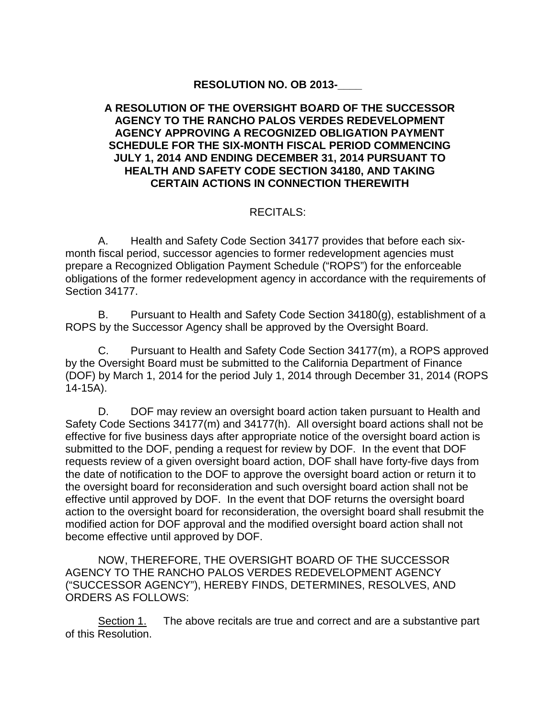# **RESOLUTION NO. OB 2013-\_\_\_\_**

#### **A RESOLUTION OF THE OVERSIGHT BOARD OF THE SUCCESSOR AGENCY TO THE RANCHO PALOS VERDES REDEVELOPMENT AGENCY APPROVING A RECOGNIZED OBLIGATION PAYMENT SCHEDULE FOR THE SIX-MONTH FISCAL PERIOD COMMENCING JULY 1, 2014 AND ENDING DECEMBER 31, 2014 PURSUANT TO HEALTH AND SAFETY CODE SECTION 34180, AND TAKING CERTAIN ACTIONS IN CONNECTION THEREWITH**

### RECITALS:

A. Health and Safety Code Section 34177 provides that before each sixmonth fiscal period, successor agencies to former redevelopment agencies must prepare a Recognized Obligation Payment Schedule ("ROPS") for the enforceable obligations of the former redevelopment agency in accordance with the requirements of Section 34177.

B. Pursuant to Health and Safety Code Section 34180(g), establishment of a ROPS by the Successor Agency shall be approved by the Oversight Board.

C. Pursuant to Health and Safety Code Section 34177(m), a ROPS approved by the Oversight Board must be submitted to the California Department of Finance (DOF) by March 1, 2014 for the period July 1, 2014 through December 31, 2014 (ROPS 14-15A).

D. DOF may review an oversight board action taken pursuant to Health and Safety Code Sections 34177(m) and 34177(h). All oversight board actions shall not be effective for five business days after appropriate notice of the oversight board action is submitted to the DOF, pending a request for review by DOF. In the event that DOF requests review of a given oversight board action, DOF shall have forty-five days from the date of notification to the DOF to approve the oversight board action or return it to the oversight board for reconsideration and such oversight board action shall not be effective until approved by DOF. In the event that DOF returns the oversight board action to the oversight board for reconsideration, the oversight board shall resubmit the modified action for DOF approval and the modified oversight board action shall not become effective until approved by DOF.

NOW, THEREFORE, THE OVERSIGHT BOARD OF THE SUCCESSOR AGENCY TO THE RANCHO PALOS VERDES REDEVELOPMENT AGENCY ("SUCCESSOR AGENCY"), HEREBY FINDS, DETERMINES, RESOLVES, AND ORDERS AS FOLLOWS:

Section 1. The above recitals are true and correct and are a substantive part of this Resolution.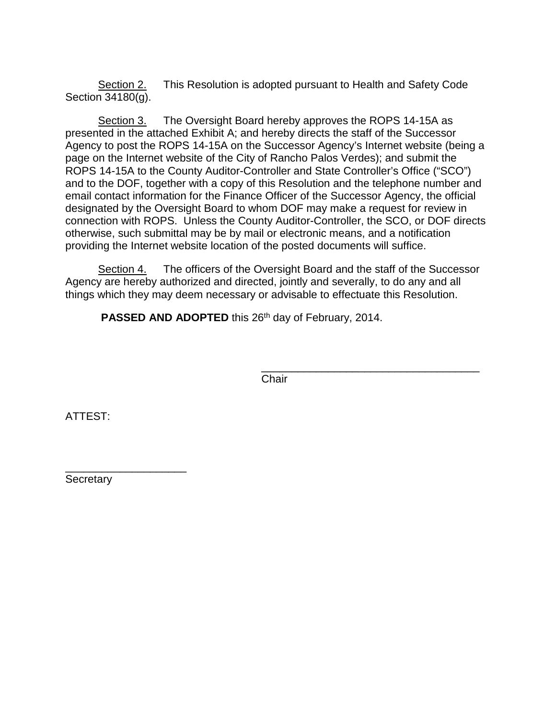Section 2. This Resolution is adopted pursuant to Health and Safety Code Section 34180(g).

Section 3. The Oversight Board hereby approves the ROPS 14-15A as presented in the attached Exhibit A; and hereby directs the staff of the Successor Agency to post the ROPS 14-15A on the Successor Agency's Internet website (being a page on the Internet website of the City of Rancho Palos Verdes); and submit the ROPS 14-15A to the County Auditor-Controller and State Controller's Office ("SCO") and to the DOF, together with a copy of this Resolution and the telephone number and email contact information for the Finance Officer of the Successor Agency, the official designated by the Oversight Board to whom DOF may make a request for review in connection with ROPS. Unless the County Auditor-Controller, the SCO, or DOF directs otherwise, such submittal may be by mail or electronic means, and a notification providing the Internet website location of the posted documents will suffice.

Section 4. The officers of the Oversight Board and the staff of the Successor Agency are hereby authorized and directed, jointly and severally, to do any and all things which they may deem necessary or advisable to effectuate this Resolution.

**PASSED AND ADOPTED** this 26<sup>th</sup> day of February, 2014.

\_\_\_\_\_\_\_\_\_\_\_\_\_\_\_\_\_\_\_\_\_\_\_\_\_\_\_\_\_\_\_\_\_\_\_\_ **Chair** 

ATTEST:

\_\_\_\_\_\_\_\_\_\_\_\_\_\_\_\_\_\_\_\_ **Secretary**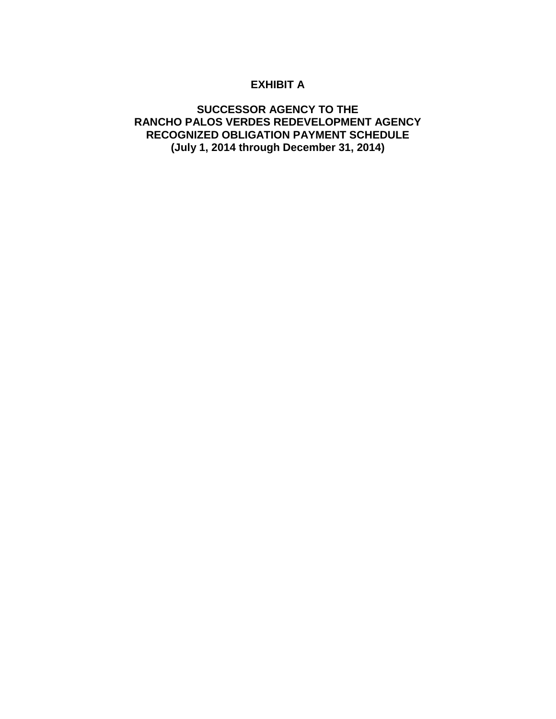# **EXHIBIT A**

### **SUCCESSOR AGENCY TO THE RANCHO PALOS VERDES REDEVELOPMENT AGENCY RECOGNIZED OBLIGATION PAYMENT SCHEDULE (July 1, 2014 through December 31, 2014)**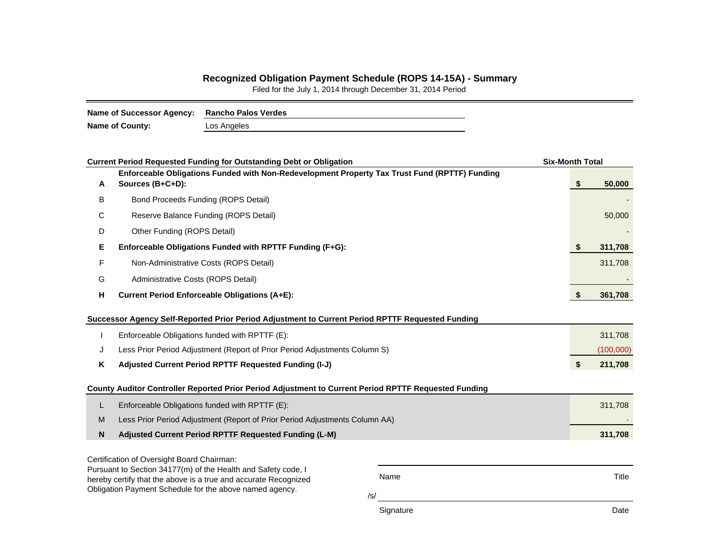#### **Recognized Obligation Payment Schedule (ROPS 14-15A) - Summary**

Filed for the July 1, 2014 through December 31, 2014 Period

| Name of Successor Agency: Rancho Palos Verdes |             |
|-----------------------------------------------|-------------|
| Name of County:                               | Los Angeles |

|   | <b>Current Period Requested Funding for Outstanding Debt or Obligation</b>                                                 |           | <b>Six-Month Total</b> |           |  |  |  |
|---|----------------------------------------------------------------------------------------------------------------------------|-----------|------------------------|-----------|--|--|--|
| A | Enforceable Obligations Funded with Non-Redevelopment Property Tax Trust Fund (RPTTF) Funding<br>Sources (B+C+D):          |           | \$                     | 50,000    |  |  |  |
| В | Bond Proceeds Funding (ROPS Detail)                                                                                        |           |                        |           |  |  |  |
| С | Reserve Balance Funding (ROPS Detail)                                                                                      |           |                        | 50,000    |  |  |  |
| D | Other Funding (ROPS Detail)                                                                                                |           |                        |           |  |  |  |
| Е | Enforceable Obligations Funded with RPTTF Funding (F+G):                                                                   |           | \$                     | 311,708   |  |  |  |
| F | Non-Administrative Costs (ROPS Detail)                                                                                     |           |                        | 311,708   |  |  |  |
| G | Administrative Costs (ROPS Detail)                                                                                         |           |                        |           |  |  |  |
| н | Current Period Enforceable Obligations (A+E):                                                                              |           |                        |           |  |  |  |
|   | Successor Agency Self-Reported Prior Period Adjustment to Current Period RPTTF Requested Funding                           |           |                        |           |  |  |  |
|   | Enforceable Obligations funded with RPTTF (E):                                                                             |           |                        | 311,708   |  |  |  |
| J | Less Prior Period Adjustment (Report of Prior Period Adjustments Column S)                                                 |           |                        | (100,000) |  |  |  |
| Κ | Adjusted Current Period RPTTF Requested Funding (I-J)                                                                      |           | \$                     | 211,708   |  |  |  |
|   | County Auditor Controller Reported Prior Period Adjustment to Current Period RPTTF Requested Funding                       |           |                        |           |  |  |  |
| L | Enforceable Obligations funded with RPTTF (E):                                                                             |           |                        | 311,708   |  |  |  |
| M | Less Prior Period Adjustment (Report of Prior Period Adjustments Column AA)                                                |           |                        |           |  |  |  |
| N | Adjusted Current Period RPTTF Requested Funding (L-M)                                                                      |           |                        | 311,708   |  |  |  |
|   | Certification of Oversight Board Chairman:                                                                                 |           |                        |           |  |  |  |
|   | Pursuant to Section 34177(m) of the Health and Safety code, I                                                              | Name      |                        | Title     |  |  |  |
|   | hereby certify that the above is a true and accurate Recognized<br>Obligation Payment Schedule for the above named agency. |           |                        |           |  |  |  |
|   |                                                                                                                            | /s/       |                        |           |  |  |  |
|   |                                                                                                                            | Signature |                        | Date      |  |  |  |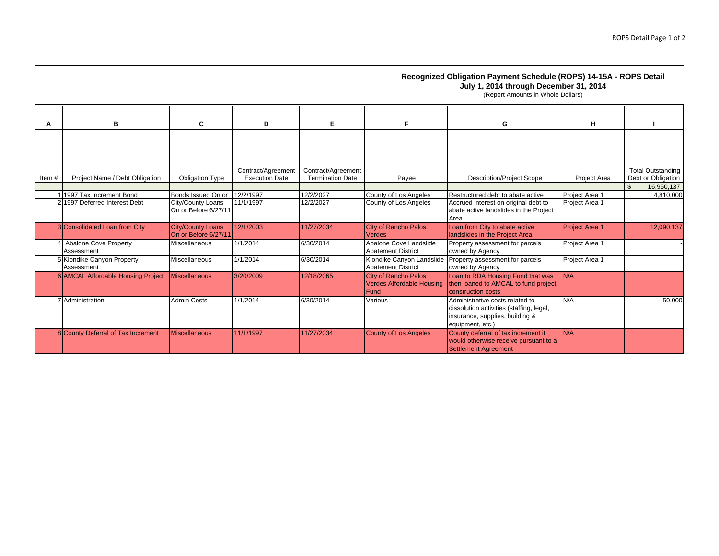|       |                                            |                                                  |                                             |                                               |                                                                         | Recognized Obligation Payment Schedule (ROPS) 14-15A - ROPS Detail<br>July 1, 2014 through December 31, 2014<br>(Report Amounts in Whole Dollars) |                       |                                                |
|-------|--------------------------------------------|--------------------------------------------------|---------------------------------------------|-----------------------------------------------|-------------------------------------------------------------------------|---------------------------------------------------------------------------------------------------------------------------------------------------|-----------------------|------------------------------------------------|
| А     | в                                          | C                                                | D                                           | Е                                             | F.                                                                      | G                                                                                                                                                 | н                     |                                                |
| Item# | Project Name / Debt Obligation             | <b>Obligation Type</b>                           | Contract/Agreement<br><b>Execution Date</b> | Contract/Agreement<br><b>Termination Date</b> | Payee                                                                   | <b>Description/Project Scope</b>                                                                                                                  | Project Area          | <b>Total Outstanding</b><br>Debt or Obligation |
|       |                                            |                                                  |                                             |                                               |                                                                         |                                                                                                                                                   |                       | \$<br>16,950,137                               |
|       | 1997 Tax Increment Bond                    | Bonds Issued On or                               | 12/2/1997                                   | 12/2/2027                                     | County of Los Angeles                                                   | Restructured debt to abate active                                                                                                                 | Project Area 1        | 4,810,000                                      |
|       | 2 1997 Deferred Interest Debt              | City/County Loans<br>On or Before 6/27/11        | 11/1/1997                                   | 12/2/2027                                     | County of Los Angeles                                                   | Accrued interest on original debt to<br>abate active landslides in the Project<br>Area                                                            | Project Area 1        |                                                |
|       | 3 Consolidated Loan from City              | <b>City/County Loans</b><br>On or Before 6/27/11 | 12/1/2003                                   | 11/27/2034                                    | <b>City of Rancho Palos</b><br><b>Verdes</b>                            | Loan from City to abate active<br>landslides in the Project Area                                                                                  | <b>Project Area 1</b> | 12.090.137                                     |
|       | <b>Abalone Cove Property</b><br>Assessment | Miscellaneous                                    | 1/1/2014                                    | 6/30/2014                                     | Abalone Cove Landslide<br><b>Abatement District</b>                     | Property assessment for parcels<br>owned by Agency                                                                                                | Project Area 1        |                                                |
|       | 5 Klondike Canyon Property<br>Assessment   | Miscellaneous                                    | 1/1/2014                                    | 6/30/2014                                     | Klondike Canyon Landslide<br><b>Abatement District</b>                  | Property assessment for parcels<br>owned by Agency                                                                                                | Project Area 1        |                                                |
|       | 6 AMCAL Affordable Housing Project         | <b>Miscellaneous</b>                             | 3/20/2009                                   | 12/18/2065                                    | <b>City of Rancho Palos</b><br><b>Verdes Affordable Housing</b><br>Fund | Loan to RDA Housing Fund that was<br>then loaned to AMCAL to fund project<br>construction costs                                                   | N/A                   |                                                |
|       | 7 Administration                           | <b>Admin Costs</b>                               | 1/1/2014                                    | 6/30/2014                                     | Various                                                                 | Administrative costs related to<br>dissolution activities (staffing, legal,<br>insurance, supplies, building &<br>equipment, etc.)                | N/A                   | 50.000                                         |
|       | 8 County Deferral of Tax Increment         | <b>Miscellaneous</b>                             | 11/1/1997                                   | 11/27/2034                                    | County of Los Angeles                                                   | County deferral of tax increment it<br>would otherwise receive pursuant to a<br>Settlement Agreement                                              | N/A                   |                                                |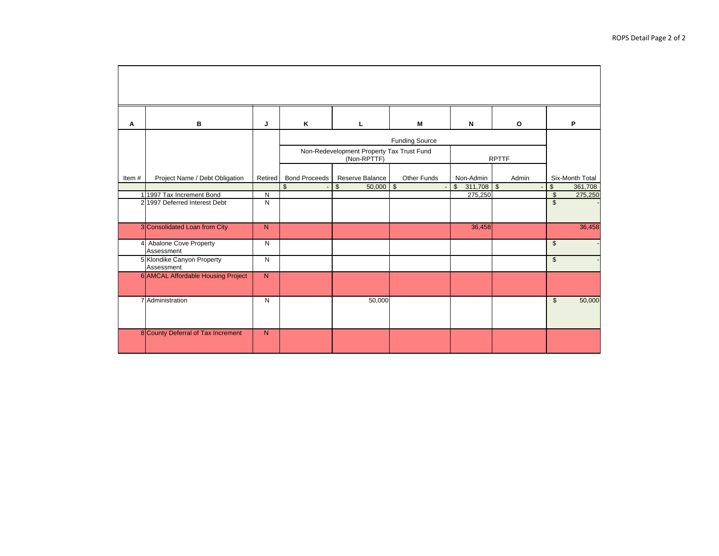| Α     | B                                          | J              | K                    | L                                                                        | м           | N                             | $\circ$                  | P                             |
|-------|--------------------------------------------|----------------|----------------------|--------------------------------------------------------------------------|-------------|-------------------------------|--------------------------|-------------------------------|
|       |                                            |                |                      | <b>Funding Source</b>                                                    |             |                               |                          |                               |
|       |                                            |                |                      | Non-Redevelopment Property Tax Trust Fund<br>(Non-RPTTF)<br><b>RPTTF</b> |             |                               |                          |                               |
| Item# | Project Name / Debt Obligation             | <b>Retired</b> | <b>Bond Proceeds</b> | Reserve Balance                                                          | Other Funds | Non-Admin                     | Admin                    | Six-Month Total               |
|       |                                            |                | $\mathfrak{s}$       | \$<br>50,000                                                             | $\sqrt{2}$  | $311,708$ \$<br>$\frac{1}{2}$ | $\overline{\phantom{a}}$ | \$<br>361,708                 |
|       | 1 1997 Tax Increment Bond                  | N              |                      |                                                                          |             | 275,250                       |                          | $\mathbf{\hat{s}}$<br>275,250 |
|       | 2 1997 Deferred Interest Debt              | $\mathsf{N}$   |                      |                                                                          |             |                               |                          | $\mathbb{S}$                  |
|       | 3 Consolidated Loan from City              | N              |                      |                                                                          |             | 36,458                        |                          | 36,458                        |
|       | <b>Abalone Cove Property</b><br>Assessment | N              |                      |                                                                          |             |                               |                          | $\mathfrak{S}$                |
|       | 5 Klondike Canyon Property<br>Assessment   | $\mathsf{N}$   |                      |                                                                          |             |                               |                          | $\mathfrak{S}$                |
|       | 6 AMCAL Affordable Housing Project         | N              |                      |                                                                          |             |                               |                          |                               |
|       | 7 Administration                           | ${\sf N}$      |                      | 50,000                                                                   |             |                               |                          | $\mathfrak{S}$<br>50,000      |
|       | 8 County Deferral of Tax Increment         | N              |                      |                                                                          |             |                               |                          |                               |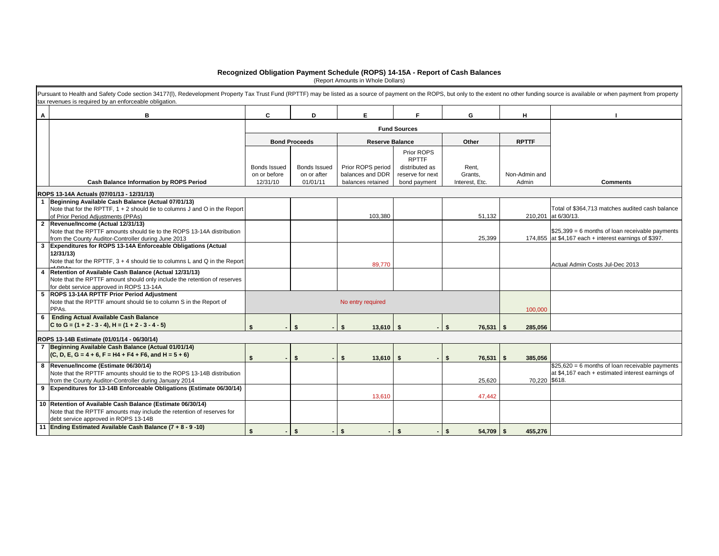#### **Recognized Obligation Payment Schedule (ROPS) 14-15A - Report of Cash Balances**

(Report Amounts in Whole Dollars)

|   | Pursuant to Health and Safety Code section 34177(I), Redevelopment Property Tax Trust Fund (RPTTF) may be listed as a source of payment on the ROPS, but only to the extent no other funding source is available or when payme<br>tax revenues is required by an enforceable obligation. |                          |                         |                                       |                                  |                           |                        |                                                                                                           |
|---|------------------------------------------------------------------------------------------------------------------------------------------------------------------------------------------------------------------------------------------------------------------------------------------|--------------------------|-------------------------|---------------------------------------|----------------------------------|---------------------------|------------------------|-----------------------------------------------------------------------------------------------------------|
| Α | в                                                                                                                                                                                                                                                                                        | C                        | D                       | E.                                    | F.                               | G                         | н                      |                                                                                                           |
|   |                                                                                                                                                                                                                                                                                          |                          |                         |                                       | <b>Fund Sources</b>              |                           |                        |                                                                                                           |
|   |                                                                                                                                                                                                                                                                                          |                          | <b>Bond Proceeds</b>    | <b>Reserve Balance</b>                |                                  | Other                     | <b>RPTTF</b>           |                                                                                                           |
|   |                                                                                                                                                                                                                                                                                          |                          |                         |                                       | Prior ROPS<br><b>RPTTF</b>       |                           |                        |                                                                                                           |
|   |                                                                                                                                                                                                                                                                                          | Bonds Issued             | <b>Bonds Issued</b>     | Prior ROPS period                     | distributed as                   | Rent,                     |                        |                                                                                                           |
|   | <b>Cash Balance Information by ROPS Period</b>                                                                                                                                                                                                                                           | on or before<br>12/31/10 | on or after<br>01/01/11 | balances and DDR<br>balances retained | reserve for next<br>bond payment | Grants.<br>Interest, Etc. | Non-Admin and<br>Admin | <b>Comments</b>                                                                                           |
|   | ROPS 13-14A Actuals (07/01/13 - 12/31/13)                                                                                                                                                                                                                                                |                          |                         |                                       |                                  |                           |                        |                                                                                                           |
|   | Beginning Available Cash Balance (Actual 07/01/13)                                                                                                                                                                                                                                       |                          |                         |                                       |                                  |                           |                        |                                                                                                           |
|   | Note that for the RPTTF, 1 + 2 should tie to columns J and O in the Report<br>of Prior Period Adjustments (PPAs)                                                                                                                                                                         |                          |                         | 103,380                               |                                  | 51,132                    |                        | Total of \$364,713 matches audited cash balance<br>210,201 at 6/30/13.                                    |
|   | 2 Revenue/Income (Actual 12/31/13)                                                                                                                                                                                                                                                       |                          |                         |                                       |                                  |                           |                        |                                                                                                           |
|   | Note that the RPTTF amounts should tie to the ROPS 13-14A distribution<br>from the County Auditor-Controller during June 2013                                                                                                                                                            |                          |                         |                                       |                                  | 25,399                    |                        | $$25,399 = 6$ months of loan receivable payments<br>174.855 at \$4,167 each + interest earnings of \$397. |
|   | 3 Expenditures for ROPS 13-14A Enforceable Obligations (Actual                                                                                                                                                                                                                           |                          |                         |                                       |                                  |                           |                        |                                                                                                           |
|   | 12/31/13                                                                                                                                                                                                                                                                                 |                          |                         |                                       |                                  |                           |                        |                                                                                                           |
|   | Note that for the RPTTF, 3 + 4 should tie to columns L and Q in the Report                                                                                                                                                                                                               |                          |                         | 89,770                                |                                  |                           |                        | Actual Admin Costs Jul-Dec 2013                                                                           |
| 4 | Retention of Available Cash Balance (Actual 12/31/13)                                                                                                                                                                                                                                    |                          |                         |                                       |                                  |                           |                        |                                                                                                           |
|   | Note that the RPTTF amount should only include the retention of reserves<br>for debt service approved in ROPS 13-14A                                                                                                                                                                     |                          |                         |                                       |                                  |                           |                        |                                                                                                           |
|   | 5 ROPS 13-14A RPTTF Prior Period Adjustment                                                                                                                                                                                                                                              |                          |                         |                                       |                                  |                           |                        |                                                                                                           |
|   | Note that the RPTTF amount should tie to column S in the Report of<br>PPAs.                                                                                                                                                                                                              |                          |                         | No entry required                     |                                  |                           | 100,000                |                                                                                                           |
|   | 6 Ending Actual Available Cash Balance                                                                                                                                                                                                                                                   |                          |                         |                                       |                                  |                           |                        |                                                                                                           |
|   | C to G = $(1 + 2 - 3 - 4)$ , H = $(1 + 2 - 3 - 4 - 5)$                                                                                                                                                                                                                                   | $\mathbf{\hat{f}}$       | \$                      | $13,610$ \$<br>Ŝ.                     |                                  | \$<br>76,531              | \$<br>285,056          |                                                                                                           |
|   | ROPS 13-14B Estimate (01/01/14 - 06/30/14)                                                                                                                                                                                                                                               |                          |                         |                                       |                                  |                           |                        |                                                                                                           |
|   | 7 Beginning Available Cash Balance (Actual 01/01/14)                                                                                                                                                                                                                                     |                          |                         |                                       |                                  |                           |                        |                                                                                                           |
|   | $(C, D, E, G = 4 + 6, F = H4 + F4 + F6, and H = 5 + 6)$                                                                                                                                                                                                                                  | \$                       | $\mathbf{\hat{z}}$      | 13,610<br>\$                          | \$                               | 76,531<br>\$              | 385,056<br>-\$         |                                                                                                           |
|   | 8 Revenue/Income (Estimate 06/30/14)                                                                                                                                                                                                                                                     |                          |                         |                                       |                                  |                           |                        | $$25,620 = 6$ months of loan receivable payments                                                          |
|   | Note that the RPTTF amounts should tie to the ROPS 13-14B distribution<br>from the County Auditor-Controller during January 2014                                                                                                                                                         |                          |                         |                                       |                                  | 25.620                    | 70.220 \$618.          | at \$4,167 each + estimated interest earnings of                                                          |
|   | 9 Expenditures for 13-14B Enforceable Obligations (Estimate 06/30/14)                                                                                                                                                                                                                    |                          |                         |                                       |                                  |                           |                        |                                                                                                           |
|   |                                                                                                                                                                                                                                                                                          |                          |                         | 13,610                                |                                  | 47,442                    |                        |                                                                                                           |
|   | 10 Retention of Available Cash Balance (Estimate 06/30/14)                                                                                                                                                                                                                               |                          |                         |                                       |                                  |                           |                        |                                                                                                           |
|   | Note that the RPTTF amounts may include the retention of reserves for<br>debt service approved in ROPS 13-14B                                                                                                                                                                            |                          |                         |                                       |                                  |                           |                        |                                                                                                           |
|   | 11 Ending Estimated Available Cash Balance (7 + 8 - 9 -10)                                                                                                                                                                                                                               | \$                       | \$                      | $\mathbf{s}$                          | $\mathbf{s}$                     | $54,709$ \$<br>Ŝ.         | 455.276                |                                                                                                           |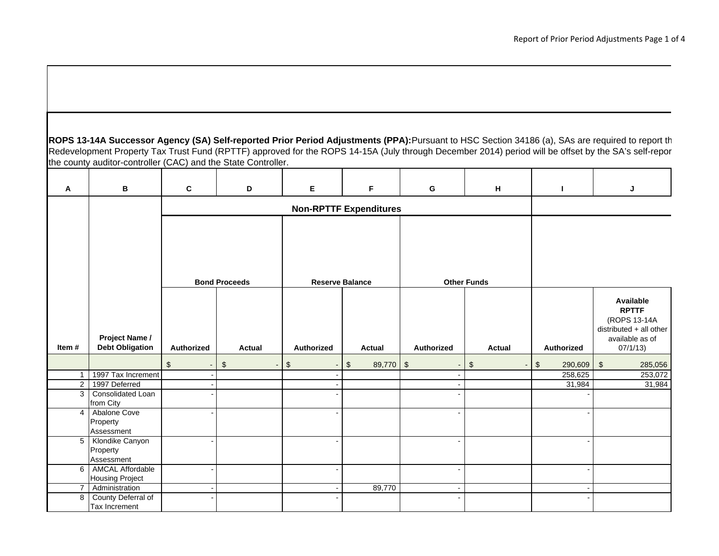**ROPS 13-14A Successor Agency (SA) Self-reported Prior Period Adjustments (PPA):**Pursuant to HSC Section 34186 (a), SAs are required to report th Redevelopment Property Tax Trust Fund (RPTTF) approved for the ROPS 14-15A (July through December 2014) period will be offset by the SA's self-repor the county auditor-controller (CAC) and the State Controller.

| Α              | в                                                 | C                    | D                      | Е                              | F.                            | G                        | H      | т                        | J                                                                                                   |
|----------------|---------------------------------------------------|----------------------|------------------------|--------------------------------|-------------------------------|--------------------------|--------|--------------------------|-----------------------------------------------------------------------------------------------------|
|                |                                                   |                      |                        |                                | <b>Non-RPTTF Expenditures</b> |                          |        |                          |                                                                                                     |
|                | <b>Bond Proceeds</b>                              |                      | <b>Reserve Balance</b> |                                |                               | <b>Other Funds</b>       |        |                          |                                                                                                     |
| Item#          | Project Name /<br><b>Debt Obligation</b>          | Authorized           | <b>Actual</b>          | Authorized                     | <b>Actual</b>                 | Authorized               | Actual | Authorized               | Available<br><b>RPTTF</b><br>(ROPS 13-14A<br>distributed + all other<br>available as of<br>07/1/13) |
|                |                                                   | \$<br>$\blacksquare$ | $$\mathbb{S}$$         | \$<br>$\overline{\phantom{a}}$ | \$<br>89,770 \$               |                          | \$     | $\frac{2}{3}$<br>290,609 | $\frac{2}{3}$<br>285,056                                                                            |
| $\mathbf{1}$   | 1997 Tax Increment                                |                      |                        |                                |                               |                          |        | 258,625                  | 253,072                                                                                             |
| $\overline{2}$ | 1997 Deferred                                     |                      |                        |                                |                               |                          |        | 31,984                   | 31,984                                                                                              |
| 3              | Consolidated Loan<br>from City                    |                      |                        |                                |                               |                          |        |                          |                                                                                                     |
| $\overline{4}$ | Abalone Cove<br>Property<br>Assessment            |                      |                        |                                |                               |                          |        |                          |                                                                                                     |
|                | 5 Klondike Canyon<br>Property<br>Assessment       |                      |                        |                                |                               |                          |        |                          |                                                                                                     |
| 6              | <b>AMCAL Affordable</b><br><b>Housing Project</b> |                      |                        |                                |                               |                          |        |                          |                                                                                                     |
| $\overline{7}$ | Administration                                    |                      |                        |                                | 89,770                        | $\overline{\phantom{a}}$ |        |                          |                                                                                                     |
| 8              | County Deferral of<br>Tax Increment               |                      |                        |                                |                               |                          |        |                          |                                                                                                     |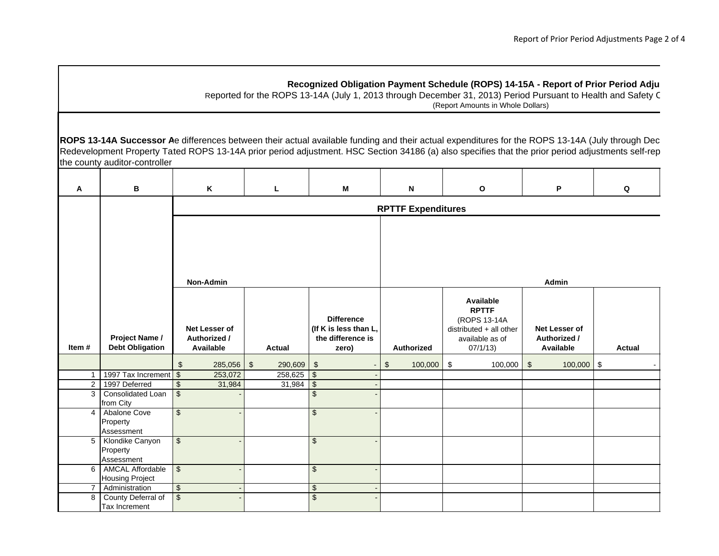#### **Recognized Obligation Payment Schedule (ROPS) 14-15A - Report of Prior Period Adju**

Reported for the ROPS 13-14A (July 1, 2013 through December 31, 2013) Period Pursuant to Health and Safety C (Report Amounts in Whole Dollars)

**ROPS 13-14A Successor A**e differences between their actual available funding and their actual expenditures for the ROPS 13-14A (July through Dec Redevelopment Property Tated ROPS 13-14A prior period adjustment. HSC Section 34186 (a) also specifies that the prior period adjustments self-rep the county auditor-controller

| A              | в                                                 | K                                                 | L                     | M                                                                        | N                         | O                                                                                                   | P                                          | Q             |  |  |  |  |  |
|----------------|---------------------------------------------------|---------------------------------------------------|-----------------------|--------------------------------------------------------------------------|---------------------------|-----------------------------------------------------------------------------------------------------|--------------------------------------------|---------------|--|--|--|--|--|
|                |                                                   |                                                   |                       |                                                                          | <b>RPTTF Expenditures</b> |                                                                                                     |                                            |               |  |  |  |  |  |
|                |                                                   | Non-Admin                                         |                       |                                                                          | <b>Admin</b>              |                                                                                                     |                                            |               |  |  |  |  |  |
| Item #         | Project Name /<br><b>Debt Obligation</b>          | Net Lesser of<br>Authorized /<br>Available        | <b>Actual</b>         | <b>Difference</b><br>(If K is less than L,<br>the difference is<br>zero) | <b>Authorized</b>         | Available<br><b>RPTTF</b><br>(ROPS 13-14A<br>distributed + all other<br>available as of<br>07/1/13) | Net Lesser of<br>Authorized /<br>Available | <b>Actual</b> |  |  |  |  |  |
|                |                                                   | \$<br>285,056                                     | $\sqrt{3}$<br>290,609 | $\boldsymbol{\mathsf{S}}$<br>$\blacksquare$                              | 100,000<br>\$             | \$<br>100,000                                                                                       | $\sqrt[6]{3}$<br>$100,000$ \$              |               |  |  |  |  |  |
| $\mathbf{1}$   | 1997 Tax Increment                                | $\sqrt[6]{3}$<br>253,072                          | $258,625$ \$          |                                                                          |                           |                                                                                                     |                                            |               |  |  |  |  |  |
| $\overline{2}$ | 1997 Deferred                                     | $\overline{\mathcal{S}}$<br>31,984                | $31,984$ \$           |                                                                          |                           |                                                                                                     |                                            |               |  |  |  |  |  |
| 3              | Consolidated Loan<br>from City                    | $\boldsymbol{\mathsf{S}}$                         |                       | $\mathcal{S}$                                                            |                           |                                                                                                     |                                            |               |  |  |  |  |  |
| $\overline{4}$ | Abalone Cove<br>Property<br>Assessment            | \$                                                |                       | $\sqrt[6]{\frac{1}{2}}$                                                  |                           |                                                                                                     |                                            |               |  |  |  |  |  |
| $\overline{5}$ | Klondike Canyon<br>Property<br>Assessment         | $\sqrt[6]{\frac{1}{2}}$                           |                       | $\sqrt[6]{\frac{1}{2}}$                                                  |                           |                                                                                                     |                                            |               |  |  |  |  |  |
| 6              | <b>AMCAL Affordable</b><br><b>Housing Project</b> | $\, \, \raisebox{12pt}{$\scriptstyle \$}$         |                       | $\mathfrak{S}$                                                           |                           |                                                                                                     |                                            |               |  |  |  |  |  |
| $\overline{7}$ | Administration                                    | $\overline{\mathbf{e}}$                           |                       | $\boldsymbol{\theta}$                                                    |                           |                                                                                                     |                                            |               |  |  |  |  |  |
| 8              | County Deferral of<br>Tax Increment               | $\, \, \raisebox{-1.5pt}{\text{\circle*{1.5}}}\,$ |                       | $\overline{\mathcal{S}}$                                                 |                           |                                                                                                     |                                            |               |  |  |  |  |  |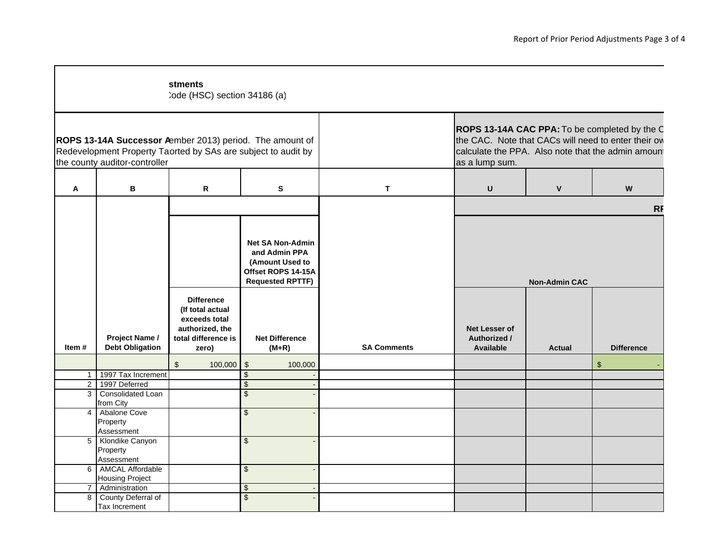|                |                                                | stments<br>Code (HSC) section 34186 (a)                                                                   |                                                                                                                                                  |                    |                                                                                                                 |              |                                                                                                                                                            |  |  |  |
|----------------|------------------------------------------------|-----------------------------------------------------------------------------------------------------------|--------------------------------------------------------------------------------------------------------------------------------------------------|--------------------|-----------------------------------------------------------------------------------------------------------------|--------------|------------------------------------------------------------------------------------------------------------------------------------------------------------|--|--|--|
|                | the county auditor-controller                  |                                                                                                           | ROPS 13-14A Successor Aember 2013) period. The amount of<br>Redevelopment Property Taorted by SAs are subject to audit by                        |                    | as a lump sum.                                                                                                  |              | ROPS 13-14A CAC PPA: To be completed by the C<br>the CAC. Note that CACs will need to enter their ow<br>calculate the PPA. Also note that the admin amount |  |  |  |
| Α              | В<br>$\mathbf{s}$<br>R                         |                                                                                                           |                                                                                                                                                  | T                  | U                                                                                                               | $\mathbf{V}$ | W                                                                                                                                                          |  |  |  |
|                |                                                |                                                                                                           |                                                                                                                                                  |                    | <b>RF</b>                                                                                                       |              |                                                                                                                                                            |  |  |  |
| Item #         | Project Name /<br><b>Debt Obligation</b>       | <b>Difference</b><br>(If total actual<br>exceeds total<br>authorized, the<br>total difference is<br>zero) | <b>Net SA Non-Admin</b><br>and Admin PPA<br>(Amount Used to<br>Offset ROPS 14-15A<br><b>Requested RPTTF)</b><br><b>Net Difference</b><br>$(M+R)$ | <b>SA Comments</b> | <b>Non-Admin CAC</b><br>Net Lesser of<br>Authorized /<br><b>Available</b><br><b>Actual</b><br><b>Difference</b> |              |                                                                                                                                                            |  |  |  |
|                |                                                | $\sqrt[6]{2}$<br>$100,000$ \$                                                                             | 100,000                                                                                                                                          |                    |                                                                                                                 |              | \$                                                                                                                                                         |  |  |  |
| $\mathbf{1}$   | 1997 Tax Increment                             |                                                                                                           | \$                                                                                                                                               |                    |                                                                                                                 |              |                                                                                                                                                            |  |  |  |
| $\overline{2}$ | 1997 Deferred                                  |                                                                                                           | \$                                                                                                                                               |                    |                                                                                                                 |              |                                                                                                                                                            |  |  |  |
| 3              | Consolidated Loan<br>from City                 |                                                                                                           | \$                                                                                                                                               |                    |                                                                                                                 |              |                                                                                                                                                            |  |  |  |
| 4              | Abalone Cove<br>Property<br>Assessment         |                                                                                                           | \$                                                                                                                                               |                    |                                                                                                                 |              |                                                                                                                                                            |  |  |  |
|                | 5 Klondike Canyon<br>Property<br>Assessment    |                                                                                                           | \$                                                                                                                                               |                    |                                                                                                                 |              |                                                                                                                                                            |  |  |  |
|                | 6   AMCAL Affordable<br><b>Housing Project</b> |                                                                                                           | $\sqrt[6]{\frac{1}{2}}$                                                                                                                          |                    |                                                                                                                 |              |                                                                                                                                                            |  |  |  |
| 7              | Administration                                 |                                                                                                           | \$                                                                                                                                               |                    |                                                                                                                 |              |                                                                                                                                                            |  |  |  |
| 8              | County Deferral of<br><b>Tax Increment</b>     |                                                                                                           | $\mathfrak{L}$                                                                                                                                   |                    |                                                                                                                 |              |                                                                                                                                                            |  |  |  |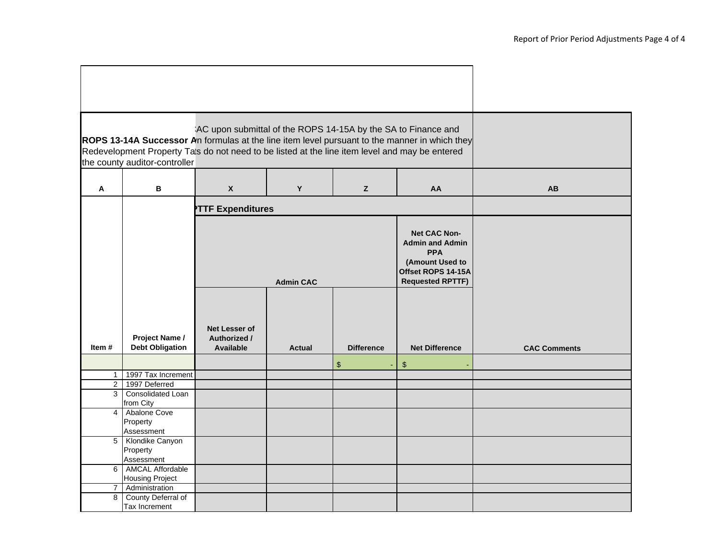|                |                                                                                                                                 | AC upon submittal of the ROPS 14-15A by the SA to Finance and |                  |                   |                                                                                                                          |                     |
|----------------|---------------------------------------------------------------------------------------------------------------------------------|---------------------------------------------------------------|------------------|-------------------|--------------------------------------------------------------------------------------------------------------------------|---------------------|
|                |                                                                                                                                 |                                                               |                  |                   | ROPS 13-14A Successor An formulas at the line item level pursuant to the manner in which they                            |                     |
|                | Redevelopment Property Tals do not need to be listed at the line item level and may be entered<br>the county auditor-controller |                                                               |                  |                   |                                                                                                                          |                     |
|                |                                                                                                                                 |                                                               |                  |                   |                                                                                                                          |                     |
| Α              | B                                                                                                                               | X                                                             | Y                | z                 | AA                                                                                                                       | AB                  |
|                |                                                                                                                                 | <b>TTF Expenditures</b>                                       |                  |                   |                                                                                                                          |                     |
|                |                                                                                                                                 |                                                               | <b>Admin CAC</b> |                   | Net CAC Non-<br><b>Admin and Admin</b><br><b>PPA</b><br>(Amount Used to<br>Offset ROPS 14-15A<br><b>Requested RPTTF)</b> |                     |
|                | Project Name /                                                                                                                  | Net Lesser of<br>Authorized /                                 |                  |                   |                                                                                                                          |                     |
| Item#          | <b>Debt Obligation</b>                                                                                                          | <b>Available</b>                                              | <b>Actual</b>    | <b>Difference</b> | <b>Net Difference</b>                                                                                                    | <b>CAC Comments</b> |
|                |                                                                                                                                 |                                                               |                  | $\frac{1}{2}$     | $\boldsymbol{\mathsf{S}}$                                                                                                |                     |
| 1 <sup>1</sup> | 1997 Tax Increment                                                                                                              |                                                               |                  |                   |                                                                                                                          |                     |
| 3 <sup>1</sup> | 2 1997 Deferred<br>Consolidated Loan                                                                                            |                                                               |                  |                   |                                                                                                                          |                     |
|                | from City                                                                                                                       |                                                               |                  |                   |                                                                                                                          |                     |
| $\overline{4}$ | Abalone Cove<br>Property<br>Assessment                                                                                          |                                                               |                  |                   |                                                                                                                          |                     |
|                | 5 Klondike Canyon<br>Property<br>Assessment                                                                                     |                                                               |                  |                   |                                                                                                                          |                     |
|                | 6 AMCAL Affordable<br><b>Housing Project</b>                                                                                    |                                                               |                  |                   |                                                                                                                          |                     |
| 7 <sup>1</sup> | Administration                                                                                                                  |                                                               |                  |                   |                                                                                                                          |                     |
| $\overline{8}$ | County Deferral of<br>Tax Increment                                                                                             |                                                               |                  |                   |                                                                                                                          |                     |

 $\blacksquare$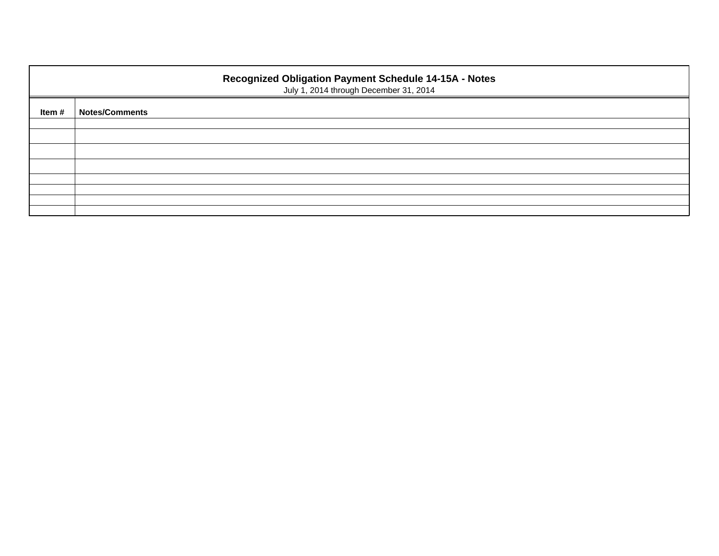| Recognized Obligation Payment Schedule 14-15A - Notes<br>July 1, 2014 through December 31, 2014 |                       |  |  |  |  |  |  |  |
|-------------------------------------------------------------------------------------------------|-----------------------|--|--|--|--|--|--|--|
| Item #                                                                                          | <b>Notes/Comments</b> |  |  |  |  |  |  |  |
|                                                                                                 |                       |  |  |  |  |  |  |  |
|                                                                                                 |                       |  |  |  |  |  |  |  |
|                                                                                                 |                       |  |  |  |  |  |  |  |
|                                                                                                 |                       |  |  |  |  |  |  |  |
|                                                                                                 |                       |  |  |  |  |  |  |  |
|                                                                                                 |                       |  |  |  |  |  |  |  |
|                                                                                                 |                       |  |  |  |  |  |  |  |
|                                                                                                 |                       |  |  |  |  |  |  |  |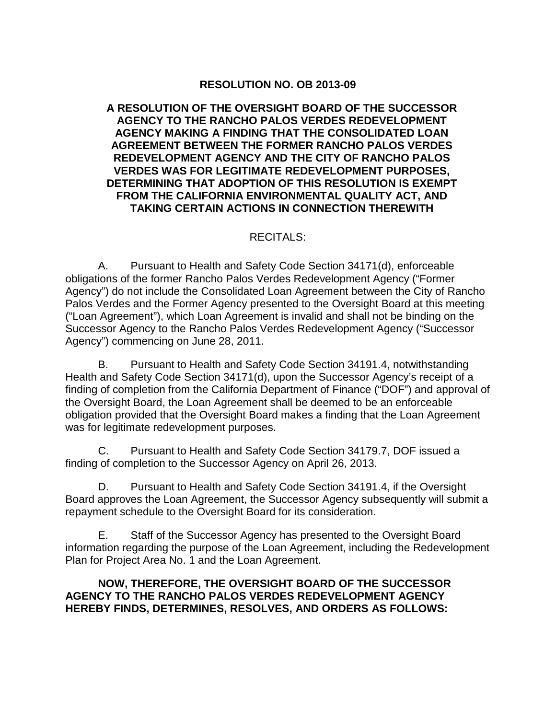### **RESOLUTION NO. OB 2013-09**

#### **A RESOLUTION OF THE OVERSIGHT BOARD OF THE SUCCESSOR AGENCY TO THE RANCHO PALOS VERDES REDEVELOPMENT AGENCY MAKING A FINDING THAT THE CONSOLIDATED LOAN AGREEMENT BETWEEN THE FORMER RANCHO PALOS VERDES REDEVELOPMENT AGENCY AND THE CITY OF RANCHO PALOS VERDES WAS FOR LEGITIMATE REDEVELOPMENT PURPOSES, DETERMINING THAT ADOPTION OF THIS RESOLUTION IS EXEMPT FROM THE CALIFORNIA ENVIRONMENTAL QUALITY ACT, AND TAKING CERTAIN ACTIONS IN CONNECTION THEREWITH**

#### RECITALS:

A. Pursuant to Health and Safety Code Section 34171(d), enforceable obligations of the former Rancho Palos Verdes Redevelopment Agency ("Former Agency") do not include the Consolidated Loan Agreement between the City of Rancho Palos Verdes and the Former Agency presented to the Oversight Board at this meeting ("Loan Agreement"), which Loan Agreement is invalid and shall not be binding on the Successor Agency to the Rancho Palos Verdes Redevelopment Agency ("Successor Agency") commencing on June 28, 2011.

B. Pursuant to Health and Safety Code Section 34191.4, notwithstanding Health and Safety Code Section 34171(d), upon the Successor Agency's receipt of a finding of completion from the California Department of Finance ("DOF") and approval of the Oversight Board, the Loan Agreement shall be deemed to be an enforceable obligation provided that the Oversight Board makes a finding that the Loan Agreement was for legitimate redevelopment purposes.

C. Pursuant to Health and Safety Code Section 34179.7, DOF issued a finding of completion to the Successor Agency on April 26, 2013.

D. Pursuant to Health and Safety Code Section 34191.4, if the Oversight Board approves the Loan Agreement, the Successor Agency subsequently will submit a repayment schedule to the Oversight Board for its consideration.

E. Staff of the Successor Agency has presented to the Oversight Board information regarding the purpose of the Loan Agreement, including the Redevelopment Plan for Project Area No. 1 and the Loan Agreement.

#### **NOW, THEREFORE, THE OVERSIGHT BOARD OF THE SUCCESSOR AGENCY TO THE RANCHO PALOS VERDES REDEVELOPMENT AGENCY HEREBY FINDS, DETERMINES, RESOLVES, AND ORDERS AS FOLLOWS:**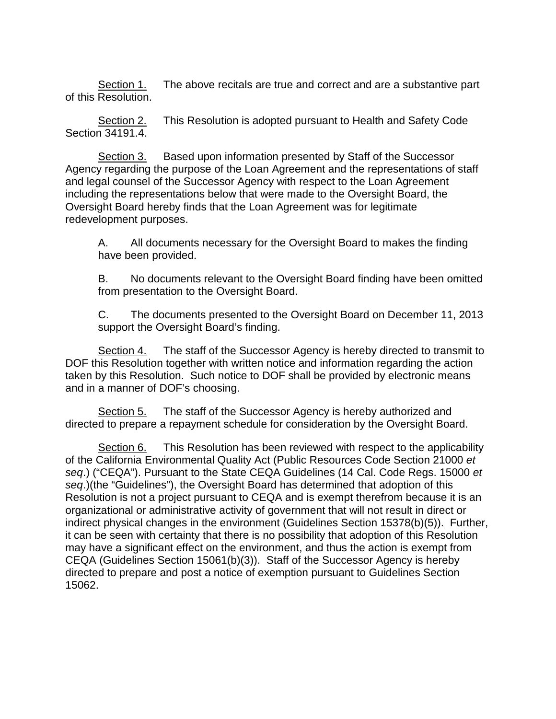Section 1. The above recitals are true and correct and are a substantive part of this Resolution.

Section 2. This Resolution is adopted pursuant to Health and Safety Code Section 34191.4.

Section 3. Based upon information presented by Staff of the Successor Agency regarding the purpose of the Loan Agreement and the representations of staff and legal counsel of the Successor Agency with respect to the Loan Agreement including the representations below that were made to the Oversight Board, the Oversight Board hereby finds that the Loan Agreement was for legitimate redevelopment purposes.

A. All documents necessary for the Oversight Board to makes the finding have been provided.

B. No documents relevant to the Oversight Board finding have been omitted from presentation to the Oversight Board.

C. The documents presented to the Oversight Board on December 11, 2013 support the Oversight Board's finding.

Section 4. The staff of the Successor Agency is hereby directed to transmit to DOF this Resolution together with written notice and information regarding the action taken by this Resolution. Such notice to DOF shall be provided by electronic means and in a manner of DOF's choosing.

Section 5. The staff of the Successor Agency is hereby authorized and directed to prepare a repayment schedule for consideration by the Oversight Board.

Section 6. This Resolution has been reviewed with respect to the applicability of the California Environmental Quality Act (Public Resources Code Section 21000 *et seq*.) ("CEQA"). Pursuant to the State CEQA Guidelines (14 Cal. Code Regs. 15000 *et seq*.)(the "Guidelines"), the Oversight Board has determined that adoption of this Resolution is not a project pursuant to CEQA and is exempt therefrom because it is an organizational or administrative activity of government that will not result in direct or indirect physical changes in the environment (Guidelines Section 15378(b)(5)). Further, it can be seen with certainty that there is no possibility that adoption of this Resolution may have a significant effect on the environment, and thus the action is exempt from CEQA (Guidelines Section 15061(b)(3)). Staff of the Successor Agency is hereby directed to prepare and post a notice of exemption pursuant to Guidelines Section 15062.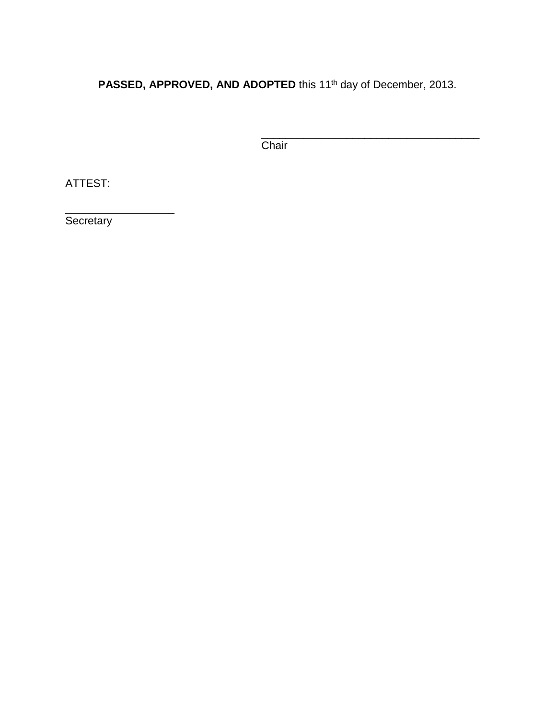**PASSED, APPROVED, AND ADOPTED** this 11th day of December, 2013.

\_\_\_\_\_\_\_\_\_\_\_\_\_\_\_\_\_\_\_\_\_\_\_\_\_\_\_\_\_\_\_\_\_\_\_\_ Chair

ATTEST:

\_\_\_\_\_\_\_\_\_\_\_\_\_\_\_\_\_\_ Secretary